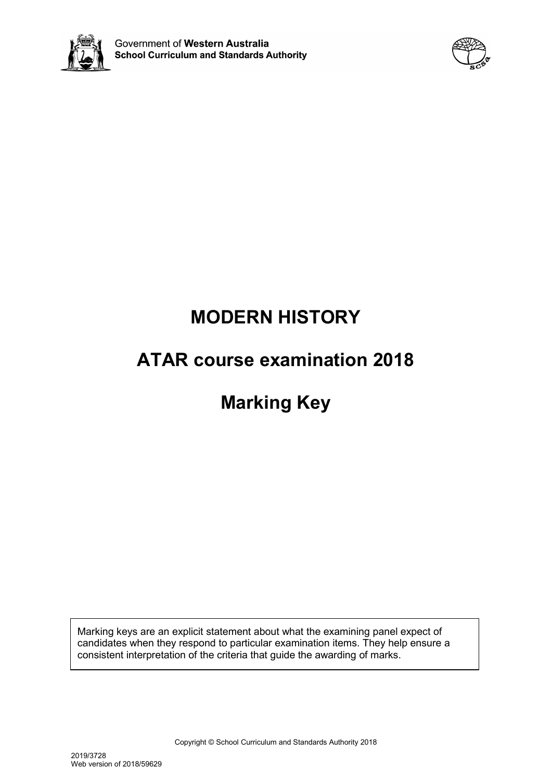



# **MODERN HISTORY**

# **ATAR course examination 2018**

# **Marking Key**

Marking keys are an explicit statement about what the examining panel expect of candidates when they respond to particular examination items. They help ensure a consistent interpretation of the criteria that guide the awarding of marks.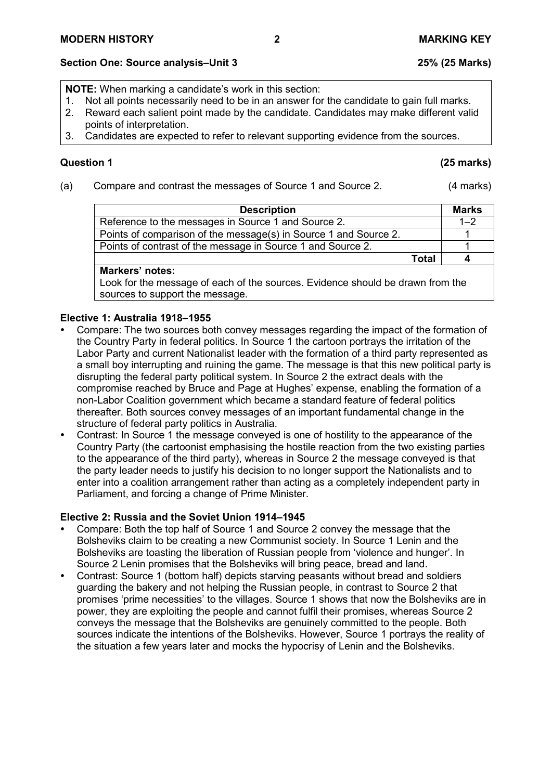# **Section One: Source analysis–Unit 3 25% (25 Marks)**

**NOTE:** When marking a candidate's work in this section:

- 1. Not all points necessarily need to be in an answer for the candidate to gain full marks.<br>2. Reward each salient point made by the candidate. Candidates may make different vali
- 2. Reward each salient point made by the candidate. Candidates may make different valid points of interpretation.
- 3. Candidates are expected to refer to relevant supporting evidence from the sources.

# **Question 1 (25 marks)**

(a) Compare and contrast the messages of Source 1 and Source 2. (4 marks)

| <b>Description</b>                                               |       | <b>Marks</b> |
|------------------------------------------------------------------|-------|--------------|
| Reference to the messages in Source 1 and Source 2.              |       | $1 - 2$      |
| Points of comparison of the message(s) in Source 1 and Source 2. |       |              |
| Points of contrast of the message in Source 1 and Source 2.      |       |              |
|                                                                  | Total |              |

# **Markers' notes:**

Look for the message of each of the sources. Evidence should be drawn from the sources to support the message.

# **Elective 1: Australia 1918–1955**

- Compare: The two sources both convey messages regarding the impact of the formation of the Country Party in federal politics. In Source 1 the cartoon portrays the irritation of the Labor Party and current Nationalist leader with the formation of a third party represented as a small boy interrupting and ruining the game. The message is that this new political party is disrupting the federal party political system. In Source 2 the extract deals with the compromise reached by Bruce and Page at Hughes' expense, enabling the formation of a non-Labor Coalition government which became a standard feature of federal politics thereafter. Both sources convey messages of an important fundamental change in the structure of federal party politics in Australia.
- Contrast: In Source 1 the message conveyed is one of hostility to the appearance of the Country Party (the cartoonist emphasising the hostile reaction from the two existing parties to the appearance of the third party), whereas in Source 2 the message conveyed is that the party leader needs to justify his decision to no longer support the Nationalists and to enter into a coalition arrangement rather than acting as a completely independent party in Parliament, and forcing a change of Prime Minister.

# **Elective 2: Russia and the Soviet Union 1914–1945**

- Compare: Both the top half of Source 1 and Source 2 convey the message that the Bolsheviks claim to be creating a new Communist society. In Source 1 Lenin and the Bolsheviks are toasting the liberation of Russian people from 'violence and hunger'. In Source 2 Lenin promises that the Bolsheviks will bring peace, bread and land.
- Contrast: Source 1 (bottom half) depicts starving peasants without bread and soldiers guarding the bakery and not helping the Russian people, in contrast to Source 2 that promises 'prime necessities' to the villages. Source 1 shows that now the Bolsheviks are in power, they are exploiting the people and cannot fulfil their promises, whereas Source 2 conveys the message that the Bolsheviks are genuinely committed to the people. Both sources indicate the intentions of the Bolsheviks. However, Source 1 portrays the reality of the situation a few years later and mocks the hypocrisy of Lenin and the Bolsheviks.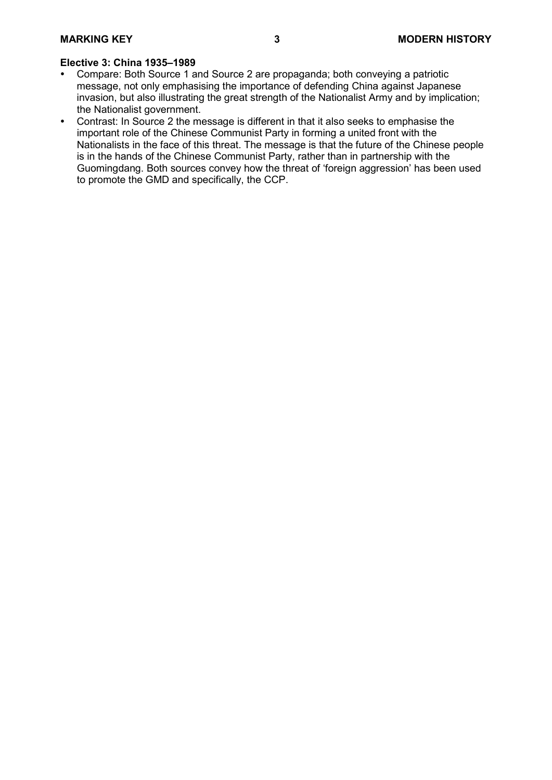- Compare: Both Source 1 and Source 2 are propaganda; both conveying a patriotic message, not only emphasising the importance of defending China against Japanese invasion, but also illustrating the great strength of the Nationalist Army and by implication; the Nationalist government.
- Contrast: In Source 2 the message is different in that it also seeks to emphasise the important role of the Chinese Communist Party in forming a united front with the Nationalists in the face of this threat. The message is that the future of the Chinese people is in the hands of the Chinese Communist Party, rather than in partnership with the Guomingdang. Both sources convey how the threat of 'foreign aggression' has been used to promote the GMD and specifically, the CCP.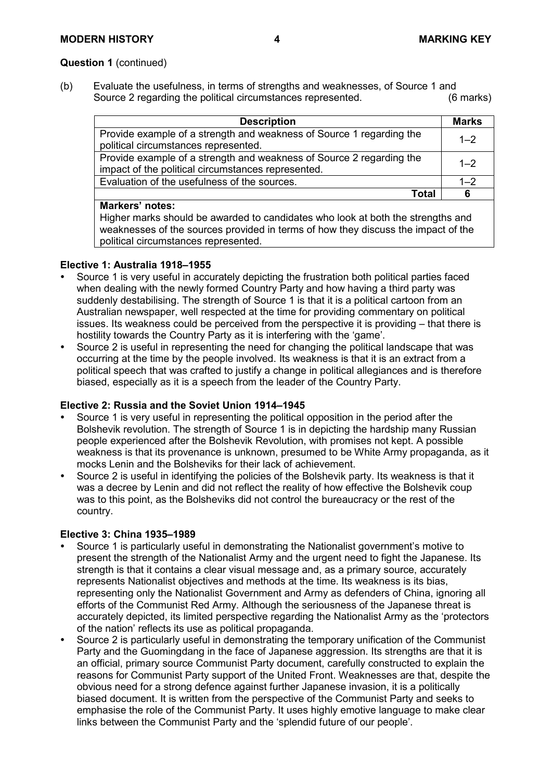# **Question 1** (continued)

(b) Evaluate the usefulness, in terms of strengths and weaknesses, of Source 1 and<br>Source 2 regarding the political circumstances represented. (6 marks) Source 2 regarding the political circumstances represented.

| <b>Description</b>                                                   | <b>Marks</b> |
|----------------------------------------------------------------------|--------------|
| Provide example of a strength and weakness of Source 1 regarding the | $1 - 2$      |
| political circumstances represented.                                 |              |
| Provide example of a strength and weakness of Source 2 regarding the | $1 - 2$      |
| impact of the political circumstances represented.                   |              |
| Evaluation of the usefulness of the sources.                         | $1 - 2$      |
| Total                                                                | 6            |
| Markers' notes:                                                      |              |

#### **Markers' notes:**

Higher marks should be awarded to candidates who look at both the strengths and weaknesses of the sources provided in terms of how they discuss the impact of the political circumstances represented.

#### **Elective 1: Australia 1918–1955**

- Source 1 is very useful in accurately depicting the frustration both political parties faced when dealing with the newly formed Country Party and how having a third party was suddenly destabilising. The strength of Source 1 is that it is a political cartoon from an Australian newspaper, well respected at the time for providing commentary on political issues. Its weakness could be perceived from the perspective it is providing – that there is hostility towards the Country Party as it is interfering with the 'game'.
- Source 2 is useful in representing the need for changing the political landscape that was occurring at the time by the people involved. Its weakness is that it is an extract from a political speech that was crafted to justify a change in political allegiances and is therefore biased, especially as it is a speech from the leader of the Country Party.

# **Elective 2: Russia and the Soviet Union 1914–1945**

- Source 1 is very useful in representing the political opposition in the period after the Bolshevik revolution. The strength of Source 1 is in depicting the hardship many Russian people experienced after the Bolshevik Revolution, with promises not kept. A possible weakness is that its provenance is unknown, presumed to be White Army propaganda, as it mocks Lenin and the Bolsheviks for their lack of achievement.
- Source 2 is useful in identifying the policies of the Bolshevik party. Its weakness is that it was a decree by Lenin and did not reflect the reality of how effective the Bolshevik coup was to this point, as the Bolsheviks did not control the bureaucracy or the rest of the country.

- Source 1 is particularly useful in demonstrating the Nationalist government's motive to present the strength of the Nationalist Army and the urgent need to fight the Japanese. Its strength is that it contains a clear visual message and, as a primary source, accurately represents Nationalist objectives and methods at the time. Its weakness is its bias, representing only the Nationalist Government and Army as defenders of China, ignoring all efforts of the Communist Red Army. Although the seriousness of the Japanese threat is accurately depicted, its limited perspective regarding the Nationalist Army as the 'protectors of the nation' reflects its use as political propaganda.
- Source 2 is particularly useful in demonstrating the temporary unification of the Communist Party and the Guomingdang in the face of Japanese aggression. Its strengths are that it is an official, primary source Communist Party document, carefully constructed to explain the reasons for Communist Party support of the United Front. Weaknesses are that, despite the obvious need for a strong defence against further Japanese invasion, it is a politically biased document. It is written from the perspective of the Communist Party and seeks to emphasise the role of the Communist Party. It uses highly emotive language to make clear links between the Communist Party and the 'splendid future of our people'.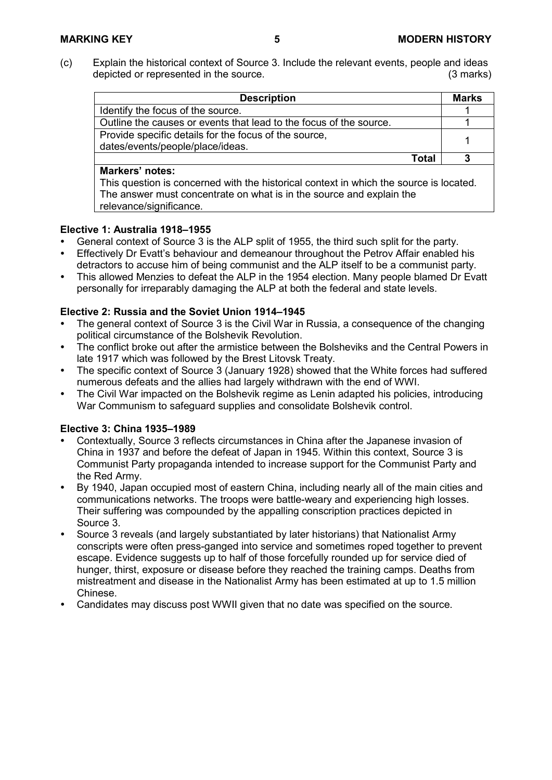(c) Explain the historical context of Source 3. Include the relevant events, people and ideas depicted or represented in the source. depicted or represented in the source.

| <b>Description</b>                                                 |       | <b>Marks</b> |
|--------------------------------------------------------------------|-------|--------------|
| Identify the focus of the source.                                  |       |              |
| Outline the causes or events that lead to the focus of the source. |       |              |
| Provide specific details for the focus of the source,              |       |              |
| dates/events/people/place/ideas.                                   |       |              |
|                                                                    | Total |              |
|                                                                    |       |              |

### **Markers' notes:**

This question is concerned with the historical context in which the source is located. The answer must concentrate on what is in the source and explain the relevance/significance.

# **Elective 1: Australia 1918–1955**

- General context of Source 3 is the ALP split of 1955, the third such split for the party.
- Effectively Dr Evatt's behaviour and demeanour throughout the Petrov Affair enabled his detractors to accuse him of being communist and the ALP itself to be a communist party.
- This allowed Menzies to defeat the ALP in the 1954 election. Many people blamed Dr Evatt personally for irreparably damaging the ALP at both the federal and state levels.

# **Elective 2: Russia and the Soviet Union 1914–1945**

- The general context of Source 3 is the Civil War in Russia, a consequence of the changing political circumstance of the Bolshevik Revolution.
- The conflict broke out after the armistice between the Bolsheviks and the Central Powers in late 1917 which was followed by the Brest Litovsk Treaty.
- The specific context of Source 3 (January 1928) showed that the White forces had suffered numerous defeats and the allies had largely withdrawn with the end of WWI.
- The Civil War impacted on the Bolshevik regime as Lenin adapted his policies, introducing War Communism to safeguard supplies and consolidate Bolshevik control.

- Contextually, Source 3 reflects circumstances in China after the Japanese invasion of China in 1937 and before the defeat of Japan in 1945. Within this context, Source 3 is Communist Party propaganda intended to increase support for the Communist Party and the Red Army.
- By 1940, Japan occupied most of eastern China, including nearly all of the main cities and communications networks. The troops were battle-weary and experiencing high losses. Their suffering was compounded by the appalling conscription practices depicted in Source 3.
- Source 3 reveals (and largely substantiated by later historians) that Nationalist Army conscripts were often press-ganged into service and sometimes roped together to prevent escape. Evidence suggests up to half of those forcefully rounded up for service died of hunger, thirst, exposure or disease before they reached the training camps. Deaths from mistreatment and disease in the Nationalist Army has been estimated at up to 1.5 million Chinese.
- Candidates may discuss post WWII given that no date was specified on the source.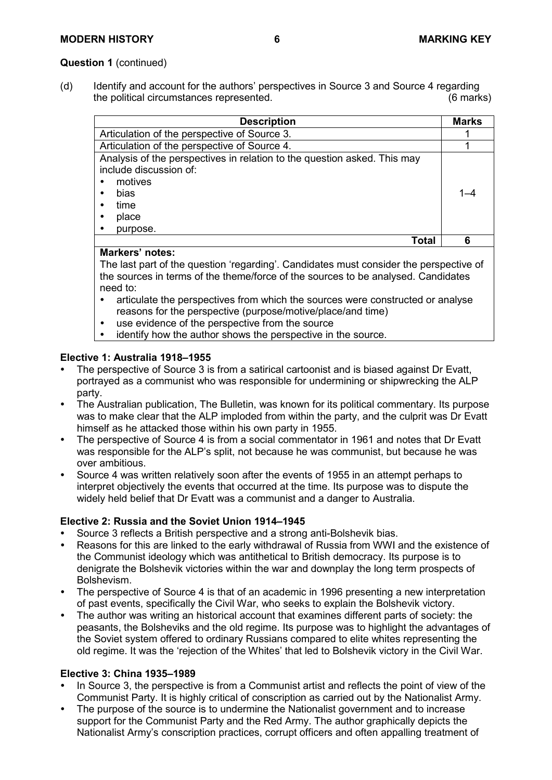### **Question 1** (continued)

(d) Identify and account for the authors' perspectives in Source 3 and Source 4 regarding<br>the political circumstances represented. (6 marks) the political circumstances represented.

| <b>Description</b>                                                                                                                                 | <b>Marks</b> |
|----------------------------------------------------------------------------------------------------------------------------------------------------|--------------|
| Articulation of the perspective of Source 3.                                                                                                       |              |
| Articulation of the perspective of Source 4.                                                                                                       |              |
| Analysis of the perspectives in relation to the question asked. This may<br>include discussion of:<br>motives<br>bias<br>time<br>place<br>purpose. |              |
| Γotal                                                                                                                                              |              |

# **Markers' notes:**

The last part of the question 'regarding'. Candidates must consider the perspective of the sources in terms of the theme/force of the sources to be analysed. Candidates need to:

- articulate the perspectives from which the sources were constructed or analyse reasons for the perspective (purpose/motive/place/and time)
- use evidence of the perspective from the source<br>• identify how the author shows the perspective in
- identify how the author shows the perspective in the source.

# **Elective 1: Australia 1918–1955**

- The perspective of Source 3 is from a satirical cartoonist and is biased against Dr Evatt, portrayed as a communist who was responsible for undermining or shipwrecking the ALP party.
- The Australian publication, The Bulletin, was known for its political commentary. Its purpose was to make clear that the ALP imploded from within the party, and the culprit was Dr Evatt himself as he attacked those within his own party in 1955.
- The perspective of Source 4 is from a social commentator in 1961 and notes that Dr Evatt was responsible for the ALP's split, not because he was communist, but because he was over ambitious.
- Source 4 was written relatively soon after the events of 1955 in an attempt perhaps to interpret objectively the events that occurred at the time. Its purpose was to dispute the widely held belief that Dr Evatt was a communist and a danger to Australia.

#### **Elective 2: Russia and the Soviet Union 1914–1945**

- Source 3 reflects a British perspective and a strong anti-Bolshevik bias.
- Reasons for this are linked to the early withdrawal of Russia from WWI and the existence of the Communist ideology which was antithetical to British democracy. Its purpose is to denigrate the Bolshevik victories within the war and downplay the long term prospects of Bolshevism.
- The perspective of Source 4 is that of an academic in 1996 presenting a new interpretation of past events, specifically the Civil War, who seeks to explain the Bolshevik victory.
- The author was writing an historical account that examines different parts of society: the peasants, the Bolsheviks and the old regime. Its purpose was to highlight the advantages of the Soviet system offered to ordinary Russians compared to elite whites representing the old regime. It was the 'rejection of the Whites' that led to Bolshevik victory in the Civil War.

- In Source 3, the perspective is from a Communist artist and reflects the point of view of the Communist Party. It is highly critical of conscription as carried out by the Nationalist Army.
- The purpose of the source is to undermine the Nationalist government and to increase support for the Communist Party and the Red Army. The author graphically depicts the Nationalist Army's conscription practices, corrupt officers and often appalling treatment of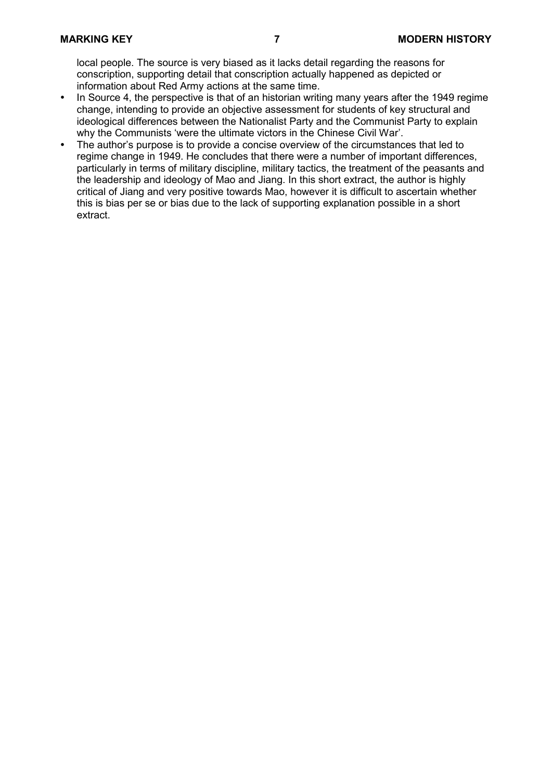local people. The source is very biased as it lacks detail regarding the reasons for conscription, supporting detail that conscription actually happened as depicted or information about Red Army actions at the same time.

- In Source 4, the perspective is that of an historian writing many years after the 1949 regime change, intending to provide an objective assessment for students of key structural and ideological differences between the Nationalist Party and the Communist Party to explain why the Communists 'were the ultimate victors in the Chinese Civil War'.
- The author's purpose is to provide a concise overview of the circumstances that led to regime change in 1949. He concludes that there were a number of important differences, particularly in terms of military discipline, military tactics, the treatment of the peasants and the leadership and ideology of Mao and Jiang. In this short extract, the author is highly critical of Jiang and very positive towards Mao, however it is difficult to ascertain whether this is bias per se or bias due to the lack of supporting explanation possible in a short extract.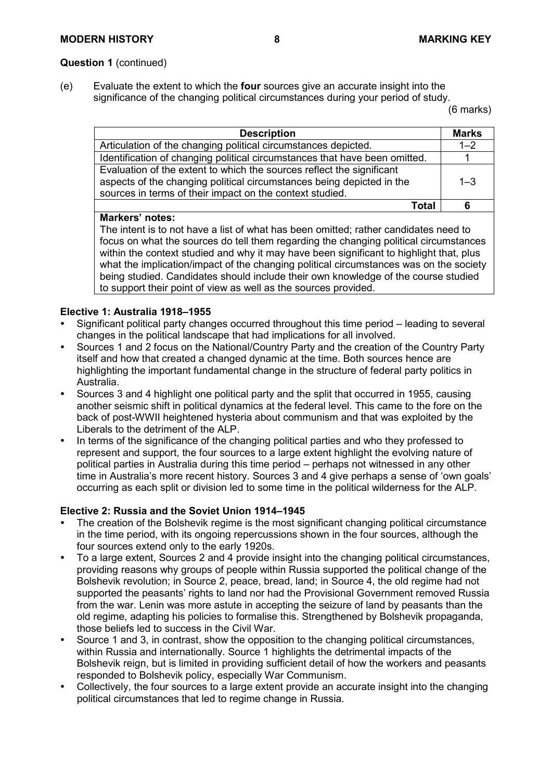# **Question 1** (continued)

(e) Evaluate the extent to which the **four** sources give an accurate insight into the significance of the changing political circumstances during your period of study.

(6 marks)

| <b>Description</b>                                                                                                                                                                                         | <b>Marks</b> |
|------------------------------------------------------------------------------------------------------------------------------------------------------------------------------------------------------------|--------------|
| Articulation of the changing political circumstances depicted.                                                                                                                                             | $1 - 2$      |
| Identification of changing political circumstances that have been omitted.                                                                                                                                 |              |
| Evaluation of the extent to which the sources reflect the significant<br>aspects of the changing political circumstances being depicted in the<br>sources in terms of their impact on the context studied. | $1 - 3$      |
| Total                                                                                                                                                                                                      |              |

# **Markers' notes:**

The intent is to not have a list of what has been omitted; rather candidates need to focus on what the sources do tell them regarding the changing political circumstances within the context studied and why it may have been significant to highlight that, plus what the implication/impact of the changing political circumstances was on the society being studied. Candidates should include their own knowledge of the course studied to support their point of view as well as the sources provided.

# **Elective 1: Australia 1918–1955**

- Significant political party changes occurred throughout this time period leading to several changes in the political landscape that had implications for all involved.
- Sources 1 and 2 focus on the National/Country Party and the creation of the Country Party itself and how that created a changed dynamic at the time. Both sources hence are highlighting the important fundamental change in the structure of federal party politics in Australia.
- Sources 3 and 4 highlight one political party and the split that occurred in 1955, causing another seismic shift in political dynamics at the federal level. This came to the fore on the back of post-WWII heightened hysteria about communism and that was exploited by the Liberals to the detriment of the ALP.
- In terms of the significance of the changing political parties and who they professed to represent and support, the four sources to a large extent highlight the evolving nature of political parties in Australia during this time period – perhaps not witnessed in any other time in Australia's more recent history. Sources 3 and 4 give perhaps a sense of 'own goals' occurring as each split or division led to some time in the political wilderness for the ALP.

# **Elective 2: Russia and the Soviet Union 1914–1945**

- The creation of the Bolshevik regime is the most significant changing political circumstance in the time period, with its ongoing repercussions shown in the four sources, although the four sources extend only to the early 1920s.
- To a large extent, Sources 2 and 4 provide insight into the changing political circumstances, providing reasons why groups of people within Russia supported the political change of the Bolshevik revolution; in Source 2, peace, bread, land; in Source 4, the old regime had not supported the peasants' rights to land nor had the Provisional Government removed Russia from the war. Lenin was more astute in accepting the seizure of land by peasants than the old regime, adapting his policies to formalise this. Strengthened by Bolshevik propaganda, those beliefs led to success in the Civil War.
- Source 1 and 3, in contrast, show the opposition to the changing political circumstances, within Russia and internationally. Source 1 highlights the detrimental impacts of the Bolshevik reign, but is limited in providing sufficient detail of how the workers and peasants responded to Bolshevik policy, especially War Communism.
- Collectively, the four sources to a large extent provide an accurate insight into the changing political circumstances that led to regime change in Russia.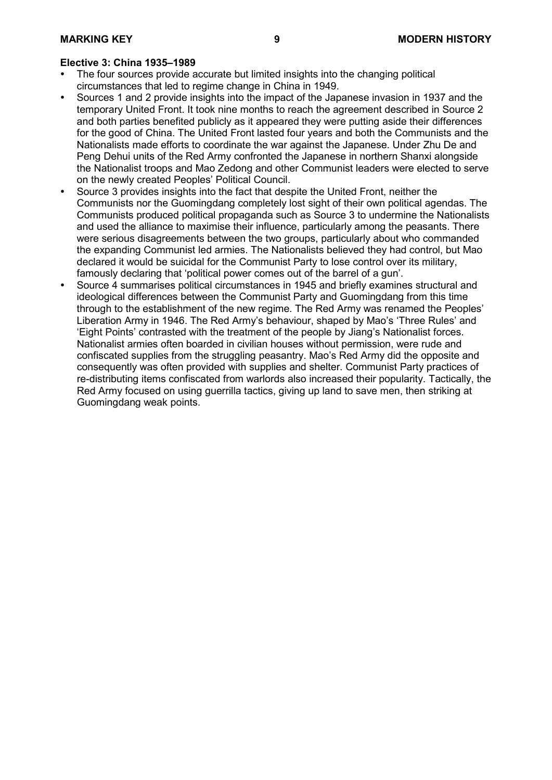- The four sources provide accurate but limited insights into the changing political circumstances that led to regime change in China in 1949.
- Sources 1 and 2 provide insights into the impact of the Japanese invasion in 1937 and the temporary United Front. It took nine months to reach the agreement described in Source 2 and both parties benefited publicly as it appeared they were putting aside their differences for the good of China. The United Front lasted four years and both the Communists and the Nationalists made efforts to coordinate the war against the Japanese. Under Zhu De and Peng Dehui units of the Red Army confronted the Japanese in northern Shanxi alongside the Nationalist troops and Mao Zedong and other Communist leaders were elected to serve on the newly created Peoples' Political Council.
- Source 3 provides insights into the fact that despite the United Front, neither the Communists nor the Guomingdang completely lost sight of their own political agendas. The Communists produced political propaganda such as Source 3 to undermine the Nationalists and used the alliance to maximise their influence, particularly among the peasants. There were serious disagreements between the two groups, particularly about who commanded the expanding Communist led armies. The Nationalists believed they had control, but Mao declared it would be suicidal for the Communist Party to lose control over its military, famously declaring that 'political power comes out of the barrel of a gun'.
- Source 4 summarises political circumstances in 1945 and briefly examines structural and ideological differences between the Communist Party and Guomingdang from this time through to the establishment of the new regime. The Red Army was renamed the Peoples' Liberation Army in 1946. The Red Army's behaviour, shaped by Mao's 'Three Rules' and 'Eight Points' contrasted with the treatment of the people by Jiang's Nationalist forces. Nationalist armies often boarded in civilian houses without permission, were rude and confiscated supplies from the struggling peasantry. Mao's Red Army did the opposite and consequently was often provided with supplies and shelter. Communist Party practices of re-distributing items confiscated from warlords also increased their popularity. Tactically, the Red Army focused on using guerrilla tactics, giving up land to save men, then striking at Guomingdang weak points.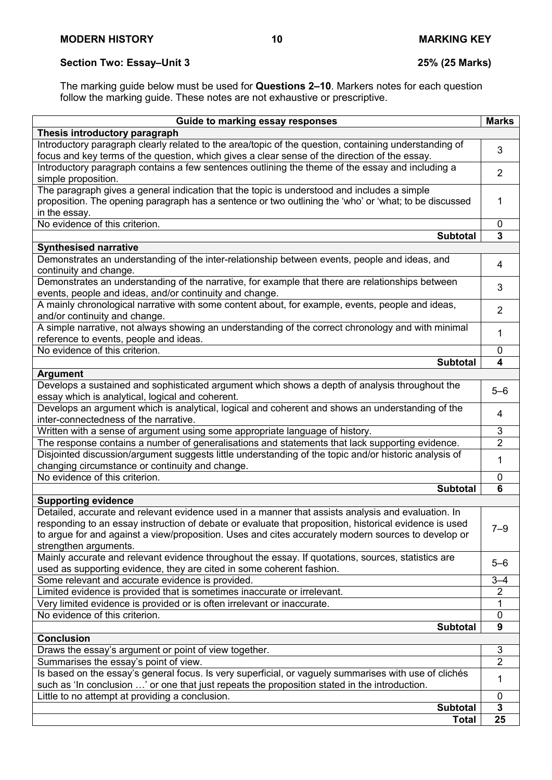# **Section Two: Essay–Unit 3 25% (25 Marks)**

The marking guide below must be used for **Questions 2–10**. Markers notes for each question follow the marking guide. These notes are not exhaustive or prescriptive.

| Guide to marking essay responses                                                                                                                                                                             | <b>Marks</b>            |
|--------------------------------------------------------------------------------------------------------------------------------------------------------------------------------------------------------------|-------------------------|
| Thesis introductory paragraph                                                                                                                                                                                |                         |
| Introductory paragraph clearly related to the area/topic of the question, containing understanding of                                                                                                        |                         |
| focus and key terms of the question, which gives a clear sense of the direction of the essay.                                                                                                                | 3                       |
| Introductory paragraph contains a few sentences outlining the theme of the essay and including a                                                                                                             |                         |
| simple proposition.                                                                                                                                                                                          | $\overline{2}$          |
| The paragraph gives a general indication that the topic is understood and includes a simple                                                                                                                  |                         |
| proposition. The opening paragraph has a sentence or two outlining the 'who' or 'what; to be discussed                                                                                                       | 1                       |
| in the essay.                                                                                                                                                                                                |                         |
| No evidence of this criterion.                                                                                                                                                                               | $\mathbf 0$             |
| <b>Subtotal</b>                                                                                                                                                                                              | $\overline{\mathbf{3}}$ |
| <b>Synthesised narrative</b>                                                                                                                                                                                 |                         |
| Demonstrates an understanding of the inter-relationship between events, people and ideas, and                                                                                                                | 4                       |
| continuity and change.                                                                                                                                                                                       |                         |
| Demonstrates an understanding of the narrative, for example that there are relationships between                                                                                                             | 3                       |
| events, people and ideas, and/or continuity and change.                                                                                                                                                      |                         |
| A mainly chronological narrative with some content about, for example, events, people and ideas,                                                                                                             | $\overline{2}$          |
| and/or continuity and change.                                                                                                                                                                                |                         |
| A simple narrative, not always showing an understanding of the correct chronology and with minimal                                                                                                           | 1                       |
| reference to events, people and ideas.                                                                                                                                                                       |                         |
| No evidence of this criterion.                                                                                                                                                                               | 0                       |
| <b>Subtotal</b>                                                                                                                                                                                              | 4                       |
| <b>Argument</b>                                                                                                                                                                                              |                         |
| Develops a sustained and sophisticated argument which shows a depth of analysis throughout the                                                                                                               | $5 - 6$                 |
| essay which is analytical, logical and coherent.                                                                                                                                                             |                         |
| Develops an argument which is analytical, logical and coherent and shows an understanding of the                                                                                                             | 4                       |
| inter-connectedness of the narrative.                                                                                                                                                                        |                         |
| Written with a sense of argument using some appropriate language of history.                                                                                                                                 | 3                       |
| The response contains a number of generalisations and statements that lack supporting evidence.                                                                                                              | $\overline{2}$          |
| Disjointed discussion/argument suggests little understanding of the topic and/or historic analysis of                                                                                                        | 1                       |
| changing circumstance or continuity and change.<br>No evidence of this criterion.                                                                                                                            |                         |
|                                                                                                                                                                                                              | $\mathbf 0$             |
| <b>Subtotal</b>                                                                                                                                                                                              | 6                       |
| <b>Supporting evidence</b>                                                                                                                                                                                   |                         |
| Detailed, accurate and relevant evidence used in a manner that assists analysis and evaluation. In<br>responding to an essay instruction of debate or evaluate that proposition, historical evidence is used |                         |
| to argue for and against a view/proposition. Uses and cites accurately modern sources to develop or                                                                                                          | $7 - 9$                 |
| strengthen arguments.                                                                                                                                                                                        |                         |
| Mainly accurate and relevant evidence throughout the essay. If quotations, sources, statistics are                                                                                                           |                         |
| used as supporting evidence, they are cited in some coherent fashion.                                                                                                                                        | $5 - 6$                 |
| Some relevant and accurate evidence is provided.                                                                                                                                                             | $3 - 4$                 |
| Limited evidence is provided that is sometimes inaccurate or irrelevant.                                                                                                                                     | $\overline{2}$          |
| Very limited evidence is provided or is often irrelevant or inaccurate.                                                                                                                                      | 1                       |
| No evidence of this criterion.                                                                                                                                                                               | $\mathbf 0$             |
| <b>Subtotal</b>                                                                                                                                                                                              | 9                       |
| <b>Conclusion</b>                                                                                                                                                                                            |                         |
| Draws the essay's argument or point of view together.                                                                                                                                                        | 3                       |
| Summarises the essay's point of view.                                                                                                                                                                        | $\overline{2}$          |
| Is based on the essay's general focus. Is very superficial, or vaguely summarises with use of clichés                                                                                                        |                         |
| such as 'In conclusion ' or one that just repeats the proposition stated in the introduction.                                                                                                                | 1                       |
| Little to no attempt at providing a conclusion.                                                                                                                                                              | 0                       |
| <b>Subtotal</b>                                                                                                                                                                                              | 3                       |
| <b>Total</b>                                                                                                                                                                                                 | 25                      |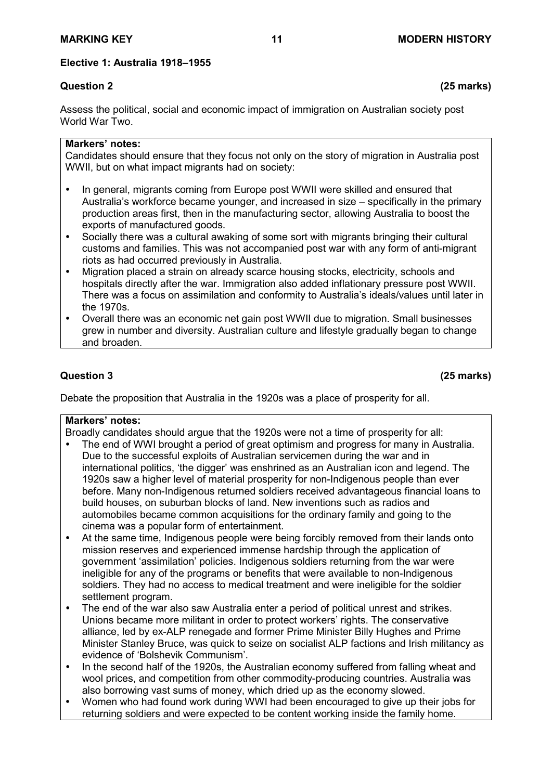# **Elective 1: Australia 1918–1955**

Assess the political, social and economic impact of immigration on Australian society post World War Two.

# **Markers' notes:**

Candidates should ensure that they focus not only on the story of migration in Australia post WWII, but on what impact migrants had on society:

- In general, migrants coming from Europe post WWII were skilled and ensured that Australia's workforce became younger, and increased in size – specifically in the primary production areas first, then in the manufacturing sector, allowing Australia to boost the exports of manufactured goods.
- Socially there was a cultural awaking of some sort with migrants bringing their cultural customs and families. This was not accompanied post war with any form of anti-migrant riots as had occurred previously in Australia.
- Migration placed a strain on already scarce housing stocks, electricity, schools and hospitals directly after the war. Immigration also added inflationary pressure post WWII. There was a focus on assimilation and conformity to Australia's ideals/values until later in the 1970s.
- Overall there was an economic net gain post WWII due to migration. Small businesses grew in number and diversity. Australian culture and lifestyle gradually began to change and broaden.

# **Question 3 (25 marks)**

Debate the proposition that Australia in the 1920s was a place of prosperity for all.

# **Markers' notes:**

Broadly candidates should argue that the 1920s were not a time of prosperity for all:

- The end of WWI brought a period of great optimism and progress for many in Australia. Due to the successful exploits of Australian servicemen during the war and in international politics, 'the digger' was enshrined as an Australian icon and legend. The 1920s saw a higher level of material prosperity for non-Indigenous people than ever before. Many non-Indigenous returned soldiers received advantageous financial loans to build houses, on suburban blocks of land. New inventions such as radios and automobiles became common acquisitions for the ordinary family and going to the cinema was a popular form of entertainment.
- At the same time, Indigenous people were being forcibly removed from their lands onto mission reserves and experienced immense hardship through the application of government 'assimilation' policies. Indigenous soldiers returning from the war were ineligible for any of the programs or benefits that were available to non-Indigenous soldiers. They had no access to medical treatment and were ineligible for the soldier settlement program.
- The end of the war also saw Australia enter a period of political unrest and strikes. Unions became more militant in order to protect workers' rights. The conservative alliance, led by ex-ALP renegade and former Prime Minister Billy Hughes and Prime Minister Stanley Bruce, was quick to seize on socialist ALP factions and Irish militancy as evidence of 'Bolshevik Communism'.
- In the second half of the 1920s, the Australian economy suffered from falling wheat and wool prices, and competition from other commodity-producing countries. Australia was also borrowing vast sums of money, which dried up as the economy slowed.
- Women who had found work during WWI had been encouraged to give up their jobs for returning soldiers and were expected to be content working inside the family home.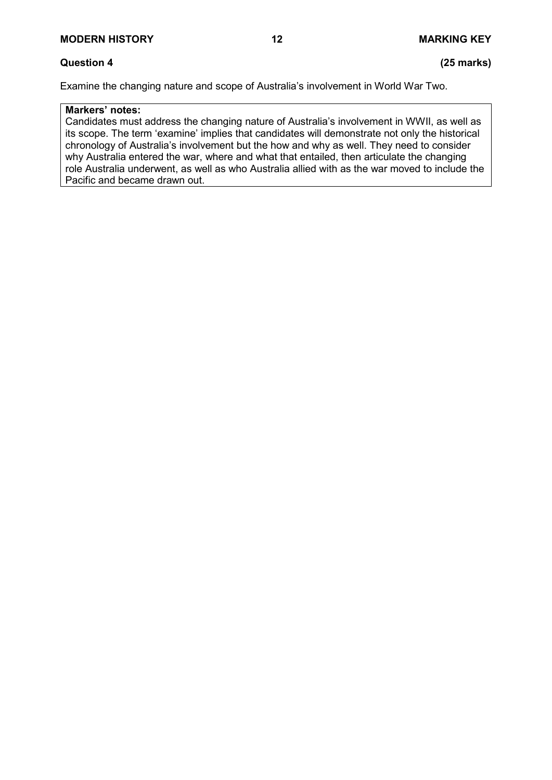# **Question 4 (25 marks)**

Examine the changing nature and scope of Australia's involvement in World War Two.

# **Markers' notes:**

Candidates must address the changing nature of Australia's involvement in WWII, as well as its scope. The term 'examine' implies that candidates will demonstrate not only the historical chronology of Australia's involvement but the how and why as well. They need to consider why Australia entered the war, where and what that entailed, then articulate the changing role Australia underwent, as well as who Australia allied with as the war moved to include the Pacific and became drawn out.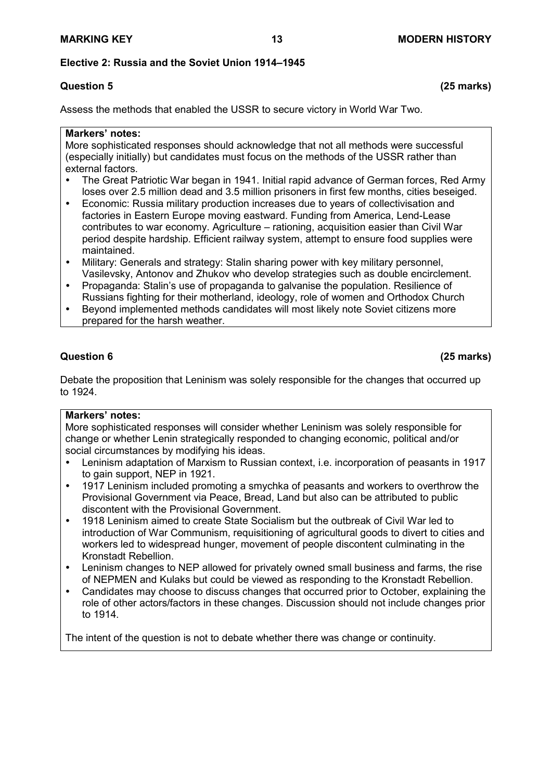# **Elective 2: Russia and the Soviet Union 1914–1945**

# **Question 5 (25 marks)**

Assess the methods that enabled the USSR to secure victory in World War Two.

#### **Markers' notes:**

More sophisticated responses should acknowledge that not all methods were successful (especially initially) but candidates must focus on the methods of the USSR rather than external factors.

- The Great Patriotic War began in 1941. Initial rapid advance of German forces, Red Army loses over 2.5 million dead and 3.5 million prisoners in first few months, cities beseiged.
- Economic: Russia military production increases due to years of collectivisation and factories in Eastern Europe moving eastward. Funding from America, Lend-Lease contributes to war economy. Agriculture – rationing, acquisition easier than Civil War period despite hardship. Efficient railway system, attempt to ensure food supplies were maintained.
- Military: Generals and strategy: Stalin sharing power with key military personnel, Vasilevsky, Antonov and Zhukov who develop strategies such as double encirclement.
- Propaganda: Stalin's use of propaganda to galvanise the population. Resilience of Russians fighting for their motherland, ideology, role of women and Orthodox Church
- Beyond implemented methods candidates will most likely note Soviet citizens more prepared for the harsh weather.

# **Question 6 (25 marks)**

Debate the proposition that Leninism was solely responsible for the changes that occurred up to 1924.

# **Markers' notes:**

More sophisticated responses will consider whether Leninism was solely responsible for change or whether Lenin strategically responded to changing economic, political and/or social circumstances by modifying his ideas.

- Leninism adaptation of Marxism to Russian context, i.e. incorporation of peasants in 1917 to gain support, NEP in 1921.
- 1917 Leninism included promoting a smychka of peasants and workers to overthrow the Provisional Government via Peace, Bread, Land but also can be attributed to public discontent with the Provisional Government.
- 1918 Leninism aimed to create State Socialism but the outbreak of Civil War led to introduction of War Communism, requisitioning of agricultural goods to divert to cities and workers led to widespread hunger, movement of people discontent culminating in the Kronstadt Rebellion.
- Leninism changes to NEP allowed for privately owned small business and farms, the rise of NEPMEN and Kulaks but could be viewed as responding to the Kronstadt Rebellion.
- Candidates may choose to discuss changes that occurred prior to October, explaining the role of other actors/factors in these changes. Discussion should not include changes prior to 1914.

The intent of the question is not to debate whether there was change or continuity.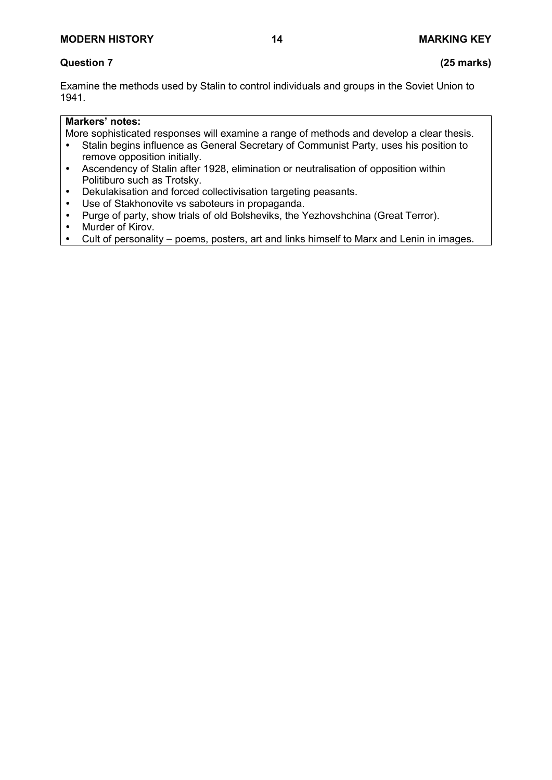# **MODERN HISTORY 14 MARKING KEY**

# **Question 7 (25 marks)**

Examine the methods used by Stalin to control individuals and groups in the Soviet Union to 1941.

# **Markers' notes:**

More sophisticated responses will examine a range of methods and develop a clear thesis.

- Stalin begins influence as General Secretary of Communist Party, uses his position to remove opposition initially.
- Ascendency of Stalin after 1928, elimination or neutralisation of opposition within Politiburo such as Trotsky.
- Dekulakisation and forced collectivisation targeting peasants.
- Use of Stakhonovite vs saboteurs in propaganda.
- Purge of party, show trials of old Bolsheviks, the Yezhovshchina (Great Terror).<br>• Murder of Kirov.
- Murder of Kirov.<br>• Cult of personali
- Cult of personality poems, posters, art and links himself to Marx and Lenin in images.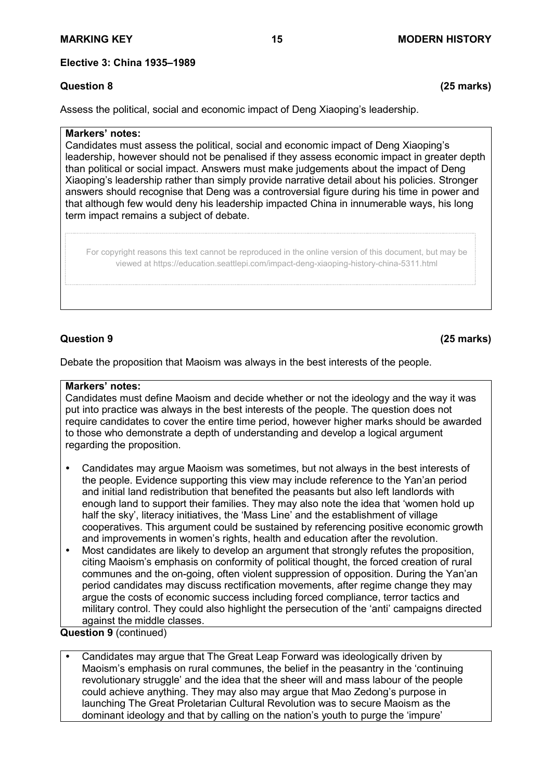# **Elective 3: China 1935–1989**

# **Question 8 (25 marks)**

Assess the political, social and economic impact of Deng Xiaoping's leadership.

#### **Markers' notes:**

Candidates must assess the political, social and economic impact of Deng Xiaoping's leadership, however should not be penalised if they assess economic impact in greater depth than political or social impact. Answers must make judgements about the impact of Deng Xiaoping's leadership rather than simply provide narrative detail about his policies. Stronger answers should recognise that Deng was a controversial figure during his time in power and that although few would deny his leadership impacted China in innumerable ways, his long term impact remains a subject of debate.

For copyright reasons this text cannot be reproduced in the online version of this document, but may be viewed at https://education.seattlepi.com/impact-deng-xiaoping-history-china-5311.html

# **Question 9 (25 marks)**

Debate the proposition that Maoism was always in the best interests of the people.

### **Markers' notes:**

Candidates must define Maoism and decide whether or not the ideology and the way it was put into practice was always in the best interests of the people. The question does not require candidates to cover the entire time period, however higher marks should be awarded to those who demonstrate a depth of understanding and develop a logical argument regarding the proposition.

- Candidates may argue Maoism was sometimes, but not always in the best interests of the people. Evidence supporting this view may include reference to the Yan'an period and initial land redistribution that benefited the peasants but also left landlords with enough land to support their families. They may also note the idea that 'women hold up half the sky', literacy initiatives, the 'Mass Line' and the establishment of village cooperatives. This argument could be sustained by referencing positive economic growth and improvements in women's rights, health and education after the revolution.
- Most candidates are likely to develop an argument that strongly refutes the proposition, citing Maoism's emphasis on conformity of political thought, the forced creation of rural communes and the on-going, often violent suppression of opposition. During the Yan'an period candidates may discuss rectification movements, after regime change they may argue the costs of economic success including forced compliance, terror tactics and military control. They could also highlight the persecution of the 'anti' campaigns directed against the middle classes.

**Question 9** (continued)

 Candidates may argue that The Great Leap Forward was ideologically driven by Maoism's emphasis on rural communes, the belief in the peasantry in the 'continuing revolutionary struggle' and the idea that the sheer will and mass labour of the people could achieve anything. They may also may argue that Mao Zedong's purpose in launching The Great Proletarian Cultural Revolution was to secure Maoism as the dominant ideology and that by calling on the nation's youth to purge the 'impure'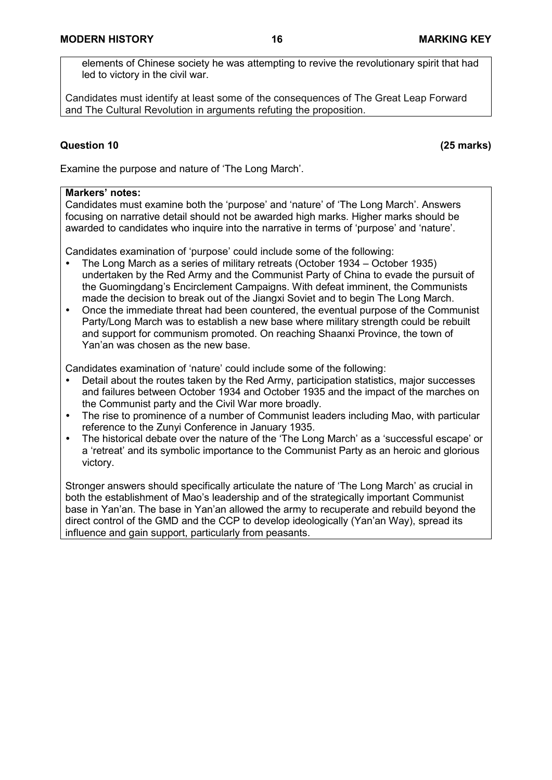elements of Chinese society he was attempting to revive the revolutionary spirit that had led to victory in the civil war.

Candidates must identify at least some of the consequences of The Great Leap Forward and The Cultural Revolution in arguments refuting the proposition.

# **Question 10 (25 marks)**

Examine the purpose and nature of 'The Long March'.

#### **Markers' notes:**

Candidates must examine both the 'purpose' and 'nature' of 'The Long March'. Answers focusing on narrative detail should not be awarded high marks. Higher marks should be awarded to candidates who inquire into the narrative in terms of 'purpose' and 'nature'.

Candidates examination of 'purpose' could include some of the following:

- The Long March as a series of military retreats (October 1934 October 1935) undertaken by the Red Army and the Communist Party of China to evade the pursuit of the Guomingdang's Encirclement Campaigns. With defeat imminent, the Communists made the decision to break out of the Jiangxi Soviet and to begin The Long March.
- Once the immediate threat had been countered, the eventual purpose of the Communist Party/Long March was to establish a new base where military strength could be rebuilt and support for communism promoted. On reaching Shaanxi Province, the town of Yan'an was chosen as the new base.

Candidates examination of 'nature' could include some of the following:

- Detail about the routes taken by the Red Army, participation statistics, major successes and failures between October 1934 and October 1935 and the impact of the marches on the Communist party and the Civil War more broadly.
- The rise to prominence of a number of Communist leaders including Mao, with particular reference to the Zunyi Conference in January 1935.
- The historical debate over the nature of the 'The Long March' as a 'successful escape' or a 'retreat' and its symbolic importance to the Communist Party as an heroic and glorious victory.

Stronger answers should specifically articulate the nature of 'The Long March' as crucial in both the establishment of Mao's leadership and of the strategically important Communist base in Yan'an. The base in Yan'an allowed the army to recuperate and rebuild beyond the direct control of the GMD and the CCP to develop ideologically (Yan'an Way), spread its influence and gain support, particularly from peasants.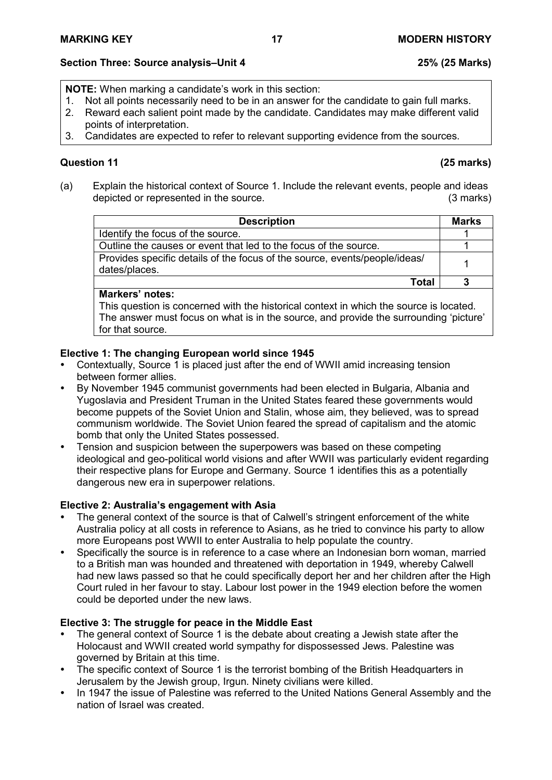# **Section Three: Source analysis–Unit 4 25% (25 Marks)**

**NOTE:** When marking a candidate's work in this section:

- 1. Not all points necessarily need to be in an answer for the candidate to gain full marks.<br>2. Reward each salient point made by the candidate. Candidates may make different vali
- 2. Reward each salient point made by the candidate. Candidates may make different valid points of interpretation.
- 3. Candidates are expected to refer to relevant supporting evidence from the sources.

# **Question 11 (25 marks)**

(a) Explain the historical context of Source 1. Include the relevant events, people and ideas depicted or represented in the source. (3 marks)

| <b>Description</b>                                                                          | <b>Marks</b> |
|---------------------------------------------------------------------------------------------|--------------|
| Identify the focus of the source.                                                           |              |
| Outline the causes or event that led to the focus of the source.                            |              |
| Provides specific details of the focus of the source, events/people/ideas/<br>dates/places. |              |
| Total                                                                                       |              |

# **Markers' notes:**

This question is concerned with the historical context in which the source is located. The answer must focus on what is in the source, and provide the surrounding 'picture' for that source.

# **Elective 1: The changing European world since 1945**

- Contextually, Source 1 is placed just after the end of WWII amid increasing tension between former allies.
- By November 1945 communist governments had been elected in Bulgaria, Albania and Yugoslavia and President Truman in the United States feared these governments would become puppets of the Soviet Union and Stalin, whose aim, they believed, was to spread communism worldwide. The Soviet Union feared the spread of capitalism and the atomic bomb that only the United States possessed.
- Tension and suspicion between the superpowers was based on these competing ideological and geo-political world visions and after WWII was particularly evident regarding their respective plans for Europe and Germany. Source 1 identifies this as a potentially dangerous new era in superpower relations.

# **Elective 2: Australia's engagement with Asia**

- The general context of the source is that of Calwell's stringent enforcement of the white Australia policy at all costs in reference to Asians, as he tried to convince his party to allow more Europeans post WWII to enter Australia to help populate the country.
- Specifically the source is in reference to a case where an Indonesian born woman, married to a British man was hounded and threatened with deportation in 1949, whereby Calwell had new laws passed so that he could specifically deport her and her children after the High Court ruled in her favour to stay. Labour lost power in the 1949 election before the women could be deported under the new laws.

# **Elective 3: The struggle for peace in the Middle East**

- The general context of Source 1 is the debate about creating a Jewish state after the Holocaust and WWII created world sympathy for dispossessed Jews. Palestine was governed by Britain at this time.
- The specific context of Source 1 is the terrorist bombing of the British Headquarters in Jerusalem by the Jewish group, Irgun. Ninety civilians were killed.
- In 1947 the issue of Palestine was referred to the United Nations General Assembly and the nation of Israel was created.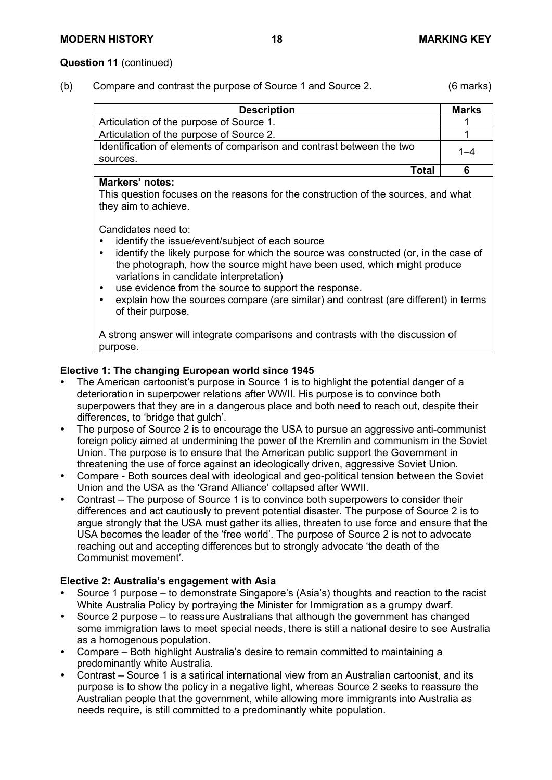#### **Question 11** (continued)

(b) Compare and contrast the purpose of Source 1 and Source 2. (6 marks)

| <b>Description</b>                                                    | <b>Marks</b> |
|-----------------------------------------------------------------------|--------------|
| Articulation of the purpose of Source 1.                              |              |
| Articulation of the purpose of Source 2.                              |              |
| Identification of elements of comparison and contrast between the two |              |
| sources.                                                              |              |
| Total                                                                 |              |

#### **Markers' notes:**

This question focuses on the reasons for the construction of the sources, and what they aim to achieve.

Candidates need to:

- identify the issue/event/subject of each source<br>• identify the likely purpose for which the source
- identify the likely purpose for which the source was constructed (or, in the case of the photograph, how the source might have been used, which might produce variations in candidate interpretation)
- use evidence from the source to support the response.<br>• explain how the sources compare (are similar) and con-
- explain how the sources compare (are similar) and contrast (are different) in terms of their purpose.

A strong answer will integrate comparisons and contrasts with the discussion of purpose.

# **Elective 1: The changing European world since 1945**

- The American cartoonist's purpose in Source 1 is to highlight the potential danger of a deterioration in superpower relations after WWII. His purpose is to convince both superpowers that they are in a dangerous place and both need to reach out, despite their differences, to 'bridge that gulch'.
- The purpose of Source 2 is to encourage the USA to pursue an aggressive anti-communist foreign policy aimed at undermining the power of the Kremlin and communism in the Soviet Union. The purpose is to ensure that the American public support the Government in threatening the use of force against an ideologically driven, aggressive Soviet Union.
- Compare Both sources deal with ideological and geo-political tension between the Soviet Union and the USA as the 'Grand Alliance' collapsed after WWII.
- Contrast The purpose of Source 1 is to convince both superpowers to consider their differences and act cautiously to prevent potential disaster. The purpose of Source 2 is to argue strongly that the USA must gather its allies, threaten to use force and ensure that the USA becomes the leader of the 'free world'. The purpose of Source 2 is not to advocate reaching out and accepting differences but to strongly advocate 'the death of the Communist movement'.

# **Elective 2: Australia's engagement with Asia**

- Source 1 purpose to demonstrate Singapore's (Asia's) thoughts and reaction to the racist White Australia Policy by portraying the Minister for Immigration as a grumpy dwarf.
- Source 2 purpose to reassure Australians that although the government has changed some immigration laws to meet special needs, there is still a national desire to see Australia as a homogenous population.
- Compare Both highlight Australia's desire to remain committed to maintaining a predominantly white Australia.
- Contrast Source 1 is a satirical international view from an Australian cartoonist, and its purpose is to show the policy in a negative light, whereas Source 2 seeks to reassure the Australian people that the government, while allowing more immigrants into Australia as needs require, is still committed to a predominantly white population.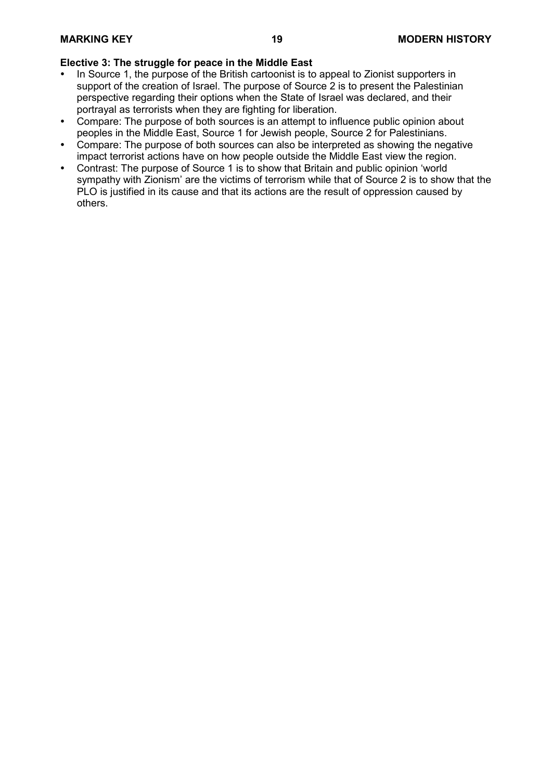# **Elective 3: The struggle for peace in the Middle East**

- In Source 1, the purpose of the British cartoonist is to appeal to Zionist supporters in support of the creation of Israel. The purpose of Source 2 is to present the Palestinian perspective regarding their options when the State of Israel was declared, and their portrayal as terrorists when they are fighting for liberation.
- Compare: The purpose of both sources is an attempt to influence public opinion about peoples in the Middle East, Source 1 for Jewish people, Source 2 for Palestinians.
- Compare: The purpose of both sources can also be interpreted as showing the negative impact terrorist actions have on how people outside the Middle East view the region.
- Contrast: The purpose of Source 1 is to show that Britain and public opinion 'world sympathy with Zionism' are the victims of terrorism while that of Source 2 is to show that the PLO is justified in its cause and that its actions are the result of oppression caused by others.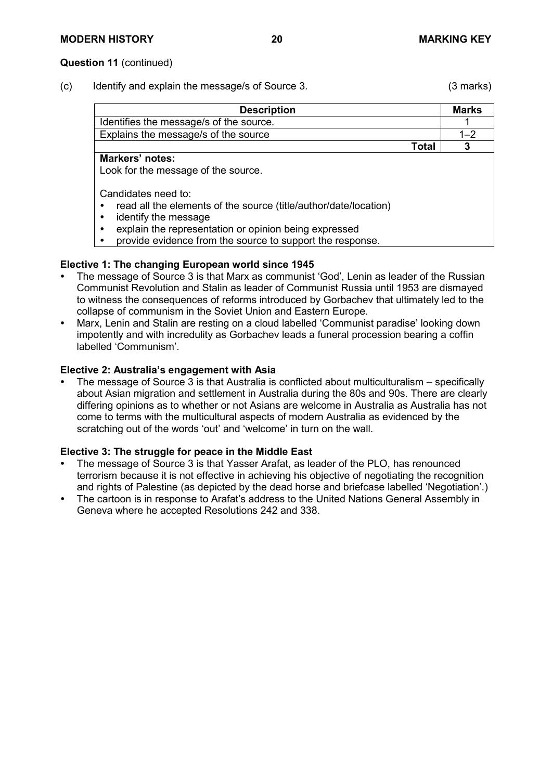(c) Identify and explain the message/s of Source 3. (3 marks)

| <b>Description</b>                      | <b>Marks</b> |
|-----------------------------------------|--------------|
| Identifies the message/s of the source. |              |
| Explains the message/s of the source    | $1 - 2$      |
| <b>Total</b>                            |              |
| <b>Markers' notes:</b>                  |              |
| Look for the message of the source.     |              |

Candidates need to:

- read all the elements of the source (title/author/date/location)
- identify the message
- explain the representation or opinion being expressed
- provide evidence from the source to support the response.

# **Elective 1: The changing European world since 1945**

- The message of Source 3 is that Marx as communist 'God', Lenin as leader of the Russian Communist Revolution and Stalin as leader of Communist Russia until 1953 are dismayed to witness the consequences of reforms introduced by Gorbachev that ultimately led to the collapse of communism in the Soviet Union and Eastern Europe.
- Marx, Lenin and Stalin are resting on a cloud labelled 'Communist paradise' looking down impotently and with incredulity as Gorbachev leads a funeral procession bearing a coffin labelled 'Communism'.

# **Elective 2: Australia's engagement with Asia**

 The message of Source 3 is that Australia is conflicted about multiculturalism – specifically about Asian migration and settlement in Australia during the 80s and 90s. There are clearly differing opinions as to whether or not Asians are welcome in Australia as Australia has not come to terms with the multicultural aspects of modern Australia as evidenced by the scratching out of the words 'out' and 'welcome' in turn on the wall.

# **Elective 3: The struggle for peace in the Middle East**

- The message of Source 3 is that Yasser Arafat, as leader of the PLO, has renounced terrorism because it is not effective in achieving his objective of negotiating the recognition and rights of Palestine (as depicted by the dead horse and briefcase labelled 'Negotiation'.)
- The cartoon is in response to Arafat's address to the United Nations General Assembly in Geneva where he accepted Resolutions 242 and 338.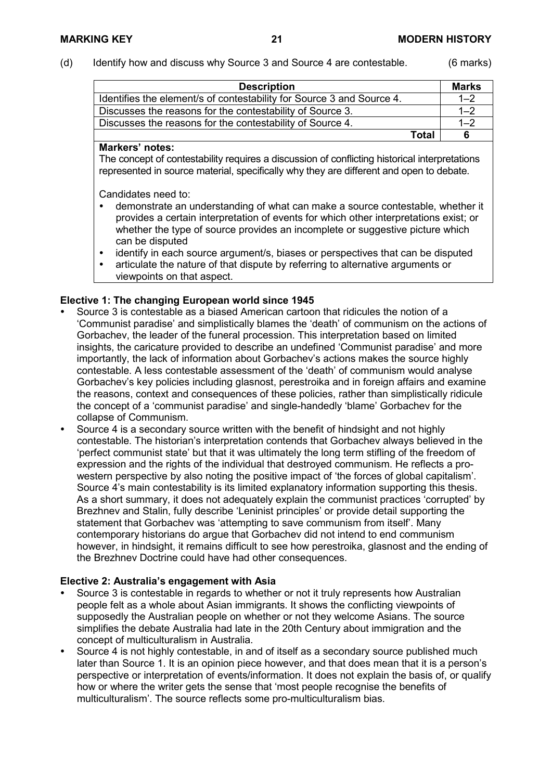(d) Identify how and discuss why Source 3 and Source 4 are contestable. (6 marks)

| <b>Description</b>                                                    |              | Marks   |
|-----------------------------------------------------------------------|--------------|---------|
| Identifies the element/s of contestability for Source 3 and Source 4. |              | $1 - 2$ |
| Discusses the reasons for the contestability of Source 3.             |              | $1 - 2$ |
| Discusses the reasons for the contestability of Source 4.             |              | $1 - 2$ |
|                                                                       | <b>Total</b> | 6       |

#### **Markers' notes:**

The concept of contestability requires a discussion of conflicting historical interpretations represented in source material, specifically why they are different and open to debate.

Candidates need to:

- demonstrate an understanding of what can make a source contestable, whether it provides a certain interpretation of events for which other interpretations exist; or whether the type of source provides an incomplete or suggestive picture which can be disputed
- identify in each source argument/s, biases or perspectives that can be disputed
- articulate the nature of that dispute by referring to alternative arguments or viewpoints on that aspect.

# **Elective 1: The changing European world since 1945**

- Source 3 is contestable as a biased American cartoon that ridicules the notion of a 'Communist paradise' and simplistically blames the 'death' of communism on the actions of Gorbachev, the leader of the funeral procession. This interpretation based on limited insights, the caricature provided to describe an undefined 'Communist paradise' and more importantly, the lack of information about Gorbachev's actions makes the source highly contestable. A less contestable assessment of the 'death' of communism would analyse Gorbachev's key policies including glasnost, perestroika and in foreign affairs and examine the reasons, context and consequences of these policies, rather than simplistically ridicule the concept of a 'communist paradise' and single-handedly 'blame' Gorbachev for the collapse of Communism.
- Source 4 is a secondary source written with the benefit of hindsight and not highly contestable. The historian's interpretation contends that Gorbachev always believed in the 'perfect communist state' but that it was ultimately the long term stifling of the freedom of expression and the rights of the individual that destroyed communism. He reflects a prowestern perspective by also noting the positive impact of 'the forces of global capitalism'. Source 4's main contestability is its limited explanatory information supporting this thesis. As a short summary, it does not adequately explain the communist practices 'corrupted' by Brezhnev and Stalin, fully describe 'Leninist principles' or provide detail supporting the statement that Gorbachev was 'attempting to save communism from itself'. Many contemporary historians do argue that Gorbachev did not intend to end communism however, in hindsight, it remains difficult to see how perestroika, glasnost and the ending of the Brezhnev Doctrine could have had other consequences.

# **Elective 2: Australia's engagement with Asia**

- Source 3 is contestable in regards to whether or not it truly represents how Australian people felt as a whole about Asian immigrants. It shows the conflicting viewpoints of supposedly the Australian people on whether or not they welcome Asians. The source simplifies the debate Australia had late in the 20th Century about immigration and the concept of multiculturalism in Australia.
- Source 4 is not highly contestable, in and of itself as a secondary source published much later than Source 1. It is an opinion piece however, and that does mean that it is a person's perspective or interpretation of events/information. It does not explain the basis of, or qualify how or where the writer gets the sense that 'most people recognise the benefits of multiculturalism'. The source reflects some pro-multiculturalism bias.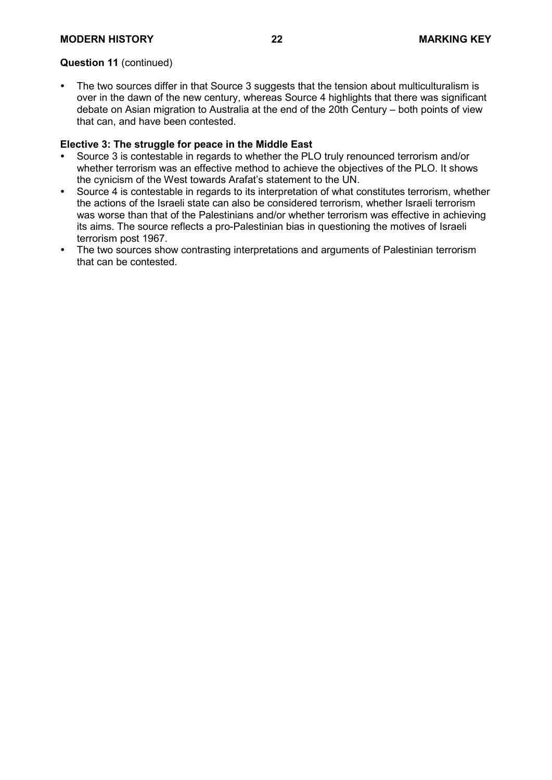# **MODERN HISTORY 22 MARKING KEY**

#### **Question 11** (continued)

 The two sources differ in that Source 3 suggests that the tension about multiculturalism is over in the dawn of the new century, whereas Source 4 highlights that there was significant debate on Asian migration to Australia at the end of the 20th Century – both points of view that can, and have been contested.

#### **Elective 3: The struggle for peace in the Middle East**

- Source 3 is contestable in regards to whether the PLO truly renounced terrorism and/or whether terrorism was an effective method to achieve the objectives of the PLO. It shows the cynicism of the West towards Arafat's statement to the UN.
- Source 4 is contestable in regards to its interpretation of what constitutes terrorism, whether the actions of the Israeli state can also be considered terrorism, whether Israeli terrorism was worse than that of the Palestinians and/or whether terrorism was effective in achieving its aims. The source reflects a pro-Palestinian bias in questioning the motives of Israeli terrorism post 1967.
- The two sources show contrasting interpretations and arguments of Palestinian terrorism that can be contested.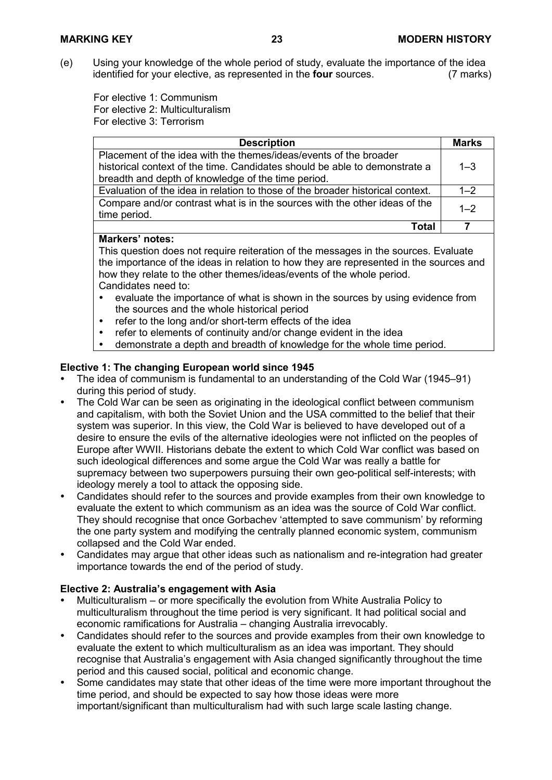(e) Using your knowledge of the whole period of study, evaluate the importance of the idea<br>identified for your elective, as represented in the **four** sources. (7 marks) identified for your elective, as represented in the **four** sources.

For elective 1: Communism For elective 2: Multiculturalism For elective 3: Terrorism

| <b>Description</b>                                                                         | <b>Marks</b> |
|--------------------------------------------------------------------------------------------|--------------|
| Placement of the idea with the themes/ideas/events of the broader                          |              |
| historical context of the time. Candidates should be able to demonstrate a                 | $1 - 3$      |
| breadth and depth of knowledge of the time period.                                         |              |
| Evaluation of the idea in relation to those of the broader historical context.             | $1 - 2$      |
| Compare and/or contrast what is in the sources with the other ideas of the<br>time period. | $1 - 2$      |
| Total                                                                                      |              |

# **Markers' notes:**

This question does not require reiteration of the messages in the sources. Evaluate the importance of the ideas in relation to how they are represented in the sources and how they relate to the other themes/ideas/events of the whole period. Candidates need to:

- evaluate the importance of what is shown in the sources by using evidence from the sources and the whole historical period
- refer to the long and/or short-term effects of the idea
- refer to elements of continuity and/or change evident in the idea<br>• demonstrate a depth and breadth of knowledge for the whole tim
- demonstrate a depth and breadth of knowledge for the whole time period.

#### **Elective 1: The changing European world since 1945**

- The idea of communism is fundamental to an understanding of the Cold War (1945–91) during this period of study.
- The Cold War can be seen as originating in the ideological conflict between communism and capitalism, with both the Soviet Union and the USA committed to the belief that their system was superior. In this view, the Cold War is believed to have developed out of a desire to ensure the evils of the alternative ideologies were not inflicted on the peoples of Europe after WWII. Historians debate the extent to which Cold War conflict was based on such ideological differences and some argue the Cold War was really a battle for supremacy between two superpowers pursuing their own geo-political self-interests; with ideology merely a tool to attack the opposing side.
- Candidates should refer to the sources and provide examples from their own knowledge to evaluate the extent to which communism as an idea was the source of Cold War conflict. They should recognise that once Gorbachev 'attempted to save communism' by reforming the one party system and modifying the centrally planned economic system, communism collapsed and the Cold War ended.
- Candidates may argue that other ideas such as nationalism and re-integration had greater importance towards the end of the period of study.

#### **Elective 2: Australia's engagement with Asia**

- Multiculturalism or more specifically the evolution from White Australia Policy to multiculturalism throughout the time period is very significant. It had political social and economic ramifications for Australia – changing Australia irrevocably.
- Candidates should refer to the sources and provide examples from their own knowledge to evaluate the extent to which multiculturalism as an idea was important. They should recognise that Australia's engagement with Asia changed significantly throughout the time period and this caused social, political and economic change.
- Some candidates may state that other ideas of the time were more important throughout the time period, and should be expected to say how those ideas were more important/significant than multiculturalism had with such large scale lasting change.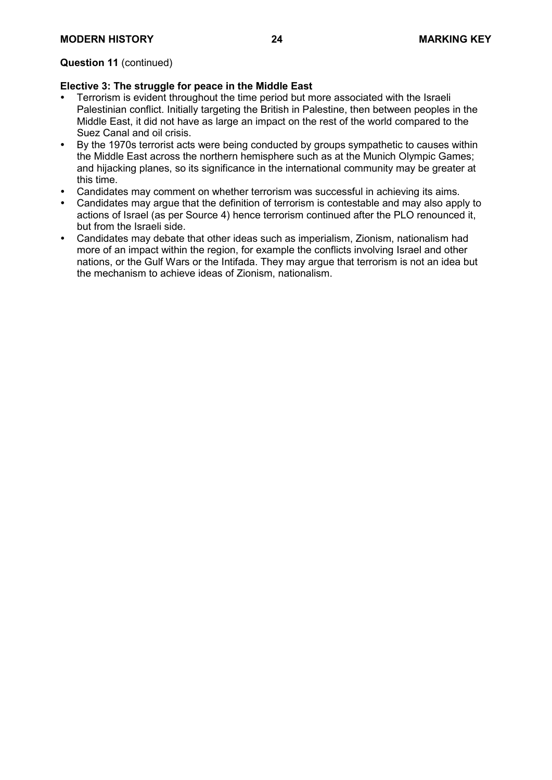# **Question 11** (continued)

# **Elective 3: The struggle for peace in the Middle East**

- Terrorism is evident throughout the time period but more associated with the Israeli Palestinian conflict. Initially targeting the British in Palestine, then between peoples in the Middle East, it did not have as large an impact on the rest of the world compared to the Suez Canal and oil crisis.
- By the 1970s terrorist acts were being conducted by groups sympathetic to causes within the Middle East across the northern hemisphere such as at the Munich Olympic Games; and hijacking planes, so its significance in the international community may be greater at this time.
- Candidates may comment on whether terrorism was successful in achieving its aims.
- Candidates may argue that the definition of terrorism is contestable and may also apply to actions of Israel (as per Source 4) hence terrorism continued after the PLO renounced it, but from the Israeli side.
- Candidates may debate that other ideas such as imperialism, Zionism, nationalism had more of an impact within the region, for example the conflicts involving Israel and other nations, or the Gulf Wars or the Intifada. They may argue that terrorism is not an idea but the mechanism to achieve ideas of Zionism, nationalism.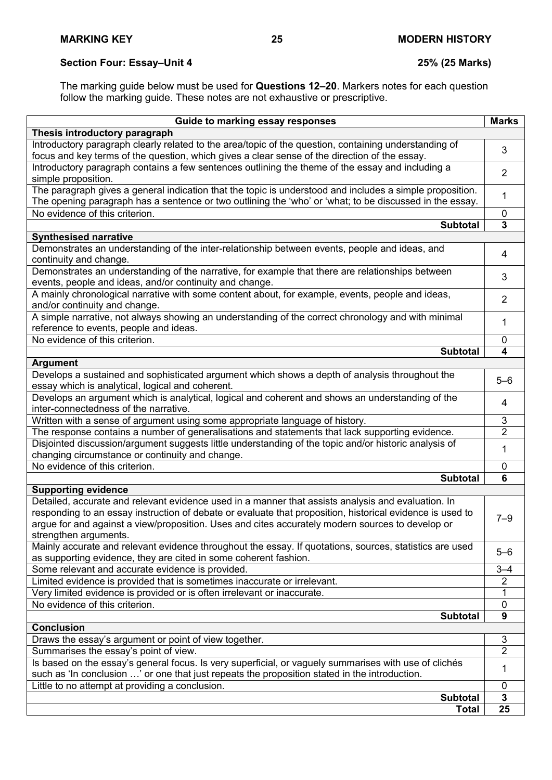# **Section Four: Essay–Unit 4 25% (25 Marks)**

The marking guide below must be used for **Questions 12–20**. Markers notes for each question follow the marking guide. These notes are not exhaustive or prescriptive.

| Guide to marking essay responses                                                                          | <b>Marks</b>     |
|-----------------------------------------------------------------------------------------------------------|------------------|
| Thesis introductory paragraph                                                                             |                  |
| Introductory paragraph clearly related to the area/topic of the question, containing understanding of     |                  |
| focus and key terms of the question, which gives a clear sense of the direction of the essay.             | 3                |
| Introductory paragraph contains a few sentences outlining the theme of the essay and including a          | $\overline{2}$   |
| simple proposition.                                                                                       |                  |
| The paragraph gives a general indication that the topic is understood and includes a simple proposition.  |                  |
| The opening paragraph has a sentence or two outlining the 'who' or 'what; to be discussed in the essay.   | 1                |
| No evidence of this criterion.                                                                            | $\mathbf{0}$     |
| <b>Subtotal</b>                                                                                           | 3                |
| <b>Synthesised narrative</b>                                                                              |                  |
| Demonstrates an understanding of the inter-relationship between events, people and ideas, and             |                  |
| continuity and change.                                                                                    | 4                |
| Demonstrates an understanding of the narrative, for example that there are relationships between          |                  |
| events, people and ideas, and/or continuity and change.                                                   | 3                |
| A mainly chronological narrative with some content about, for example, events, people and ideas,          |                  |
| and/or continuity and change.                                                                             | $\overline{2}$   |
| A simple narrative, not always showing an understanding of the correct chronology and with minimal        |                  |
| reference to events, people and ideas.                                                                    | 1                |
| No evidence of this criterion.                                                                            | 0                |
| <b>Subtotal</b>                                                                                           | 4                |
| <b>Argument</b>                                                                                           |                  |
| Develops a sustained and sophisticated argument which shows a depth of analysis throughout the            |                  |
| essay which is analytical, logical and coherent.                                                          | $5 - 6$          |
| Develops an argument which is analytical, logical and coherent and shows an understanding of the          |                  |
| inter-connectedness of the narrative.                                                                     | 4                |
| Written with a sense of argument using some appropriate language of history.                              | 3                |
| The response contains a number of generalisations and statements that lack supporting evidence.           | $\overline{2}$   |
| Disjointed discussion/argument suggests little understanding of the topic and/or historic analysis of     |                  |
| changing circumstance or continuity and change.                                                           | 1                |
| No evidence of this criterion.                                                                            | 0                |
| <b>Subtotal</b>                                                                                           | 6                |
| <b>Supporting evidence</b>                                                                                |                  |
| Detailed, accurate and relevant evidence used in a manner that assists analysis and evaluation. In        |                  |
| responding to an essay instruction of debate or evaluate that proposition, historical evidence is used to |                  |
| argue for and against a view/proposition. Uses and cites accurately modern sources to develop or          | $7 - 9$          |
| strengthen arguments.                                                                                     |                  |
| Mainly accurate and relevant evidence throughout the essay. If quotations, sources, statistics are used   |                  |
| as supporting evidence, they are cited in some coherent fashion.                                          | $5 - 6$          |
| Some relevant and accurate evidence is provided.                                                          | $3 - 4$          |
| Limited evidence is provided that is sometimes inaccurate or irrelevant.                                  | $\overline{2}$   |
| Very limited evidence is provided or is often irrelevant or inaccurate.                                   |                  |
| No evidence of this criterion.                                                                            | $\mathbf 0$      |
| <b>Subtotal</b>                                                                                           | $\boldsymbol{9}$ |
| <b>Conclusion</b>                                                                                         |                  |
| Draws the essay's argument or point of view together.                                                     | 3                |
| Summarises the essay's point of view.                                                                     | 2                |
| Is based on the essay's general focus. Is very superficial, or vaguely summarises with use of clichés     |                  |
| such as 'In conclusion ' or one that just repeats the proposition stated in the introduction.             | 1                |
| Little to no attempt at providing a conclusion.                                                           | 0                |
| <b>Subtotal</b>                                                                                           | 3                |
| <b>Total</b>                                                                                              | 25               |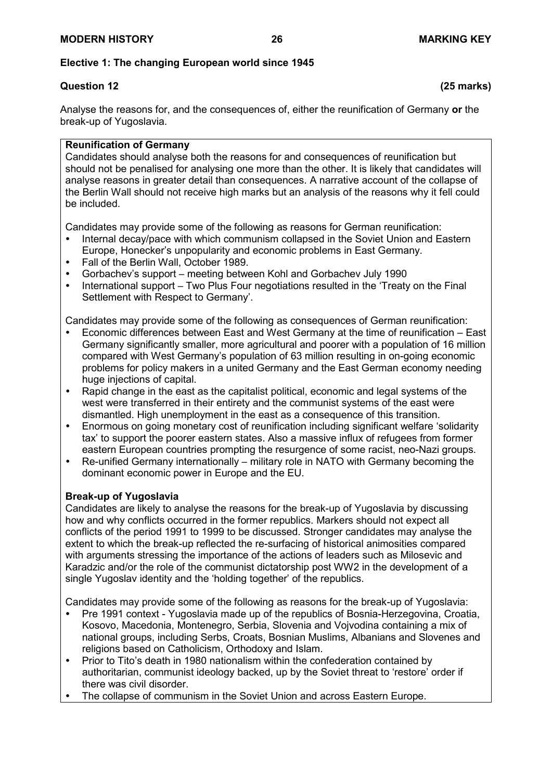# **Elective 1: The changing European world since 1945**

# **Question 12 (25 marks)**

Analyse the reasons for, and the consequences of, either the reunification of Germany **or** the break-up of Yugoslavia.

# **Reunification of Germany**

Candidates should analyse both the reasons for and consequences of reunification but should not be penalised for analysing one more than the other. It is likely that candidates will analyse reasons in greater detail than consequences. A narrative account of the collapse of the Berlin Wall should not receive high marks but an analysis of the reasons why it fell could be included.

Candidates may provide some of the following as reasons for German reunification:

- Internal decay/pace with which communism collapsed in the Soviet Union and Eastern Europe, Honecker's unpopularity and economic problems in East Germany.
- Fall of the Berlin Wall, October 1989.
- Gorbachev's support meeting between Kohl and Gorbachev July 1990
- International support Two Plus Four negotiations resulted in the 'Treaty on the Final Settlement with Respect to Germany'.

Candidates may provide some of the following as consequences of German reunification:

- Economic differences between East and West Germany at the time of reunification East Germany significantly smaller, more agricultural and poorer with a population of 16 million compared with West Germany's population of 63 million resulting in on-going economic problems for policy makers in a united Germany and the East German economy needing huge injections of capital.
- Rapid change in the east as the capitalist political, economic and legal systems of the west were transferred in their entirety and the communist systems of the east were dismantled. High unemployment in the east as a consequence of this transition.
- Enormous on going monetary cost of reunification including significant welfare 'solidarity tax' to support the poorer eastern states. Also a massive influx of refugees from former eastern European countries prompting the resurgence of some racist, neo-Nazi groups.
- Re-unified Germany internationally military role in NATO with Germany becoming the dominant economic power in Europe and the EU.

# **Break-up of Yugoslavia**

Candidates are likely to analyse the reasons for the break-up of Yugoslavia by discussing how and why conflicts occurred in the former republics. Markers should not expect all conflicts of the period 1991 to 1999 to be discussed. Stronger candidates may analyse the extent to which the break-up reflected the re-surfacing of historical animosities compared with arguments stressing the importance of the actions of leaders such as Milosevic and Karadzic and/or the role of the communist dictatorship post WW2 in the development of a single Yugoslav identity and the 'holding together' of the republics.

Candidates may provide some of the following as reasons for the break-up of Yugoslavia:

- Pre 1991 context Yugoslavia made up of the republics of Bosnia-Herzegovina, Croatia, Kosovo, Macedonia, Montenegro, Serbia, Slovenia and Vojvodina containing a mix of national groups, including Serbs, Croats, Bosnian Muslims, Albanians and Slovenes and religions based on Catholicism, Orthodoxy and Islam.
- Prior to Tito's death in 1980 nationalism within the confederation contained by authoritarian, communist ideology backed, up by the Soviet threat to 'restore' order if there was civil disorder.
- The collapse of communism in the Soviet Union and across Eastern Europe.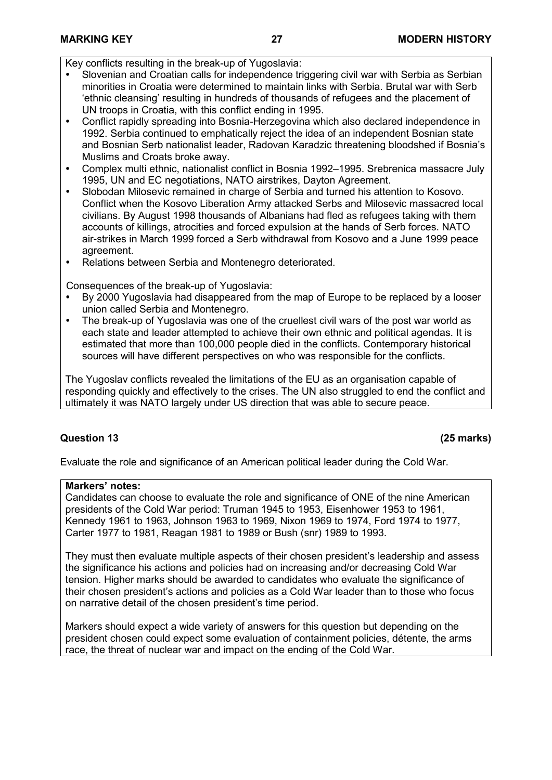Key conflicts resulting in the break-up of Yugoslavia:

- Slovenian and Croatian calls for independence triggering civil war with Serbia as Serbian minorities in Croatia were determined to maintain links with Serbia. Brutal war with Serb 'ethnic cleansing' resulting in hundreds of thousands of refugees and the placement of UN troops in Croatia, with this conflict ending in 1995.
- Conflict rapidly spreading into Bosnia-Herzegovina which also declared independence in 1992. Serbia continued to emphatically reject the idea of an independent Bosnian state and Bosnian Serb nationalist leader, Radovan Karadzic threatening bloodshed if Bosnia's Muslims and Croats broke away.
- Complex multi ethnic, nationalist conflict in Bosnia 1992–1995. Srebrenica massacre July 1995, UN and EC negotiations, NATO airstrikes, Dayton Agreement.
- Slobodan Milosevic remained in charge of Serbia and turned his attention to Kosovo. Conflict when the Kosovo Liberation Army attacked Serbs and Milosevic massacred local civilians. By August 1998 thousands of Albanians had fled as refugees taking with them accounts of killings, atrocities and forced expulsion at the hands of Serb forces. NATO air-strikes in March 1999 forced a Serb withdrawal from Kosovo and a June 1999 peace agreement.
- Relations between Serbia and Montenegro deteriorated.

Consequences of the break-up of Yugoslavia:

- By 2000 Yugoslavia had disappeared from the map of Europe to be replaced by a looser union called Serbia and Montenegro.
- The break-up of Yugoslavia was one of the cruellest civil wars of the post war world as each state and leader attempted to achieve their own ethnic and political agendas. It is estimated that more than 100,000 people died in the conflicts. Contemporary historical sources will have different perspectives on who was responsible for the conflicts.

The Yugoslav conflicts revealed the limitations of the EU as an organisation capable of responding quickly and effectively to the crises. The UN also struggled to end the conflict and ultimately it was NATO largely under US direction that was able to secure peace.

# **Question 13 (25 marks)**

Evaluate the role and significance of an American political leader during the Cold War.

# **Markers' notes:**

Candidates can choose to evaluate the role and significance of ONE of the nine American presidents of the Cold War period: Truman 1945 to 1953, Eisenhower 1953 to 1961, Kennedy 1961 to 1963, Johnson 1963 to 1969, Nixon 1969 to 1974, Ford 1974 to 1977, Carter 1977 to 1981, Reagan 1981 to 1989 or Bush (snr) 1989 to 1993.

They must then evaluate multiple aspects of their chosen president's leadership and assess the significance his actions and policies had on increasing and/or decreasing Cold War tension. Higher marks should be awarded to candidates who evaluate the significance of their chosen president's actions and policies as a Cold War leader than to those who focus on narrative detail of the chosen president's time period.

Markers should expect a wide variety of answers for this question but depending on the president chosen could expect some evaluation of containment policies, détente, the arms race, the threat of nuclear war and impact on the ending of the Cold War.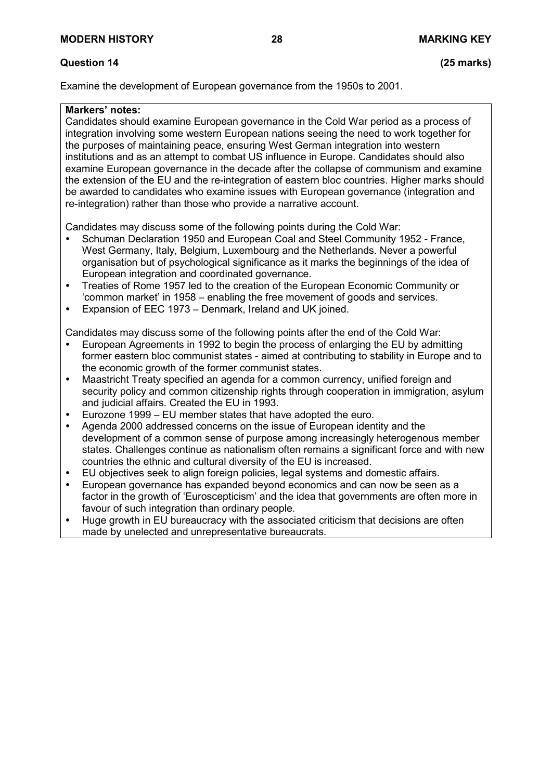# **Question 14 (25 marks)**

Examine the development of European governance from the 1950s to 2001.

### **Markers' notes:**

Candidates should examine European governance in the Cold War period as a process of integration involving some western European nations seeing the need to work together for the purposes of maintaining peace, ensuring West German integration into western institutions and as an attempt to combat US influence in Europe. Candidates should also examine European governance in the decade after the collapse of communism and examine the extension of the EU and the re-integration of eastern bloc countries. Higher marks should be awarded to candidates who examine issues with European governance (integration and re-integration) rather than those who provide a narrative account.

Candidates may discuss some of the following points during the Cold War:

- Schuman Declaration 1950 and European Coal and Steel Community 1952 France, West Germany, Italy, Belgium, Luxembourg and the Netherlands. Never a powerful organisation but of psychological significance as it marks the beginnings of the idea of European integration and coordinated governance.
- Treaties of Rome 1957 led to the creation of the European Economic Community or 'common market' in 1958 – enabling the free movement of goods and services.
- Expansion of EEC 1973 Denmark, Ireland and UK joined.

Candidates may discuss some of the following points after the end of the Cold War:

- European Agreements in 1992 to begin the process of enlarging the EU by admitting former eastern bloc communist states - aimed at contributing to stability in Europe and to the economic growth of the former communist states.
- Maastricht Treaty specified an agenda for a common currency, unified foreign and security policy and common citizenship rights through cooperation in immigration, asylum and judicial affairs. Created the EU in 1993.
- Eurozone 1999 EU member states that have adopted the euro.
- Agenda 2000 addressed concerns on the issue of European identity and the development of a common sense of purpose among increasingly heterogenous member states. Challenges continue as nationalism often remains a significant force and with new countries the ethnic and cultural diversity of the EU is increased.
- EU objectives seek to align foreign policies, legal systems and domestic affairs.
- European governance has expanded beyond economics and can now be seen as a factor in the growth of 'Euroscepticism' and the idea that governments are often more in favour of such integration than ordinary people.
- Huge growth in EU bureaucracy with the associated criticism that decisions are often made by unelected and unrepresentative bureaucrats.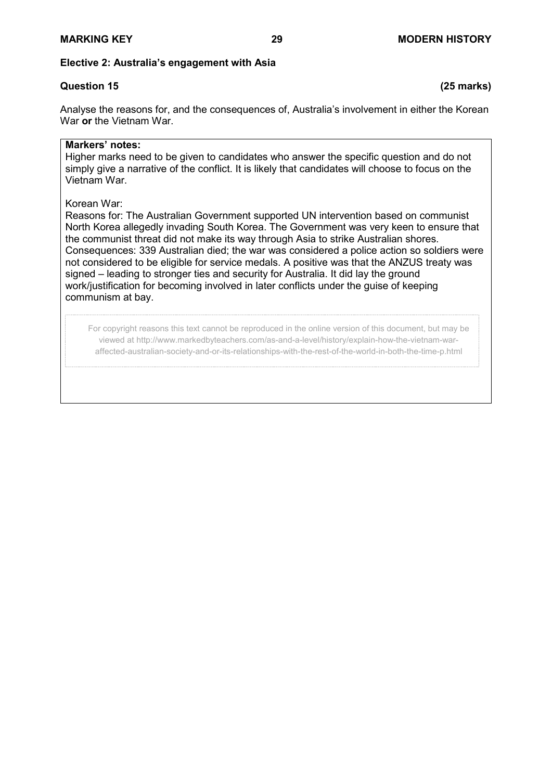# **Elective 2: Australia's engagement with Asia**

# **Question 15 (25 marks)**

Analyse the reasons for, and the consequences of, Australia's involvement in either the Korean War **or** the Vietnam War.

# **Markers' notes:**

Higher marks need to be given to candidates who answer the specific question and do not simply give a narrative of the conflict. It is likely that candidates will choose to focus on the Vietnam War.

# Korean War:

Reasons for: The Australian Government supported UN intervention based on communist North Korea allegedly invading South Korea. The Government was very keen to ensure that the communist threat did not make its way through Asia to strike Australian shores. Consequences: 339 Australian died; the war was considered a police action so soldiers were not considered to be eligible for service medals. A positive was that the ANZUS treaty was signed – leading to stronger ties and security for Australia. It did lay the ground work/justification for becoming involved in later conflicts under the guise of keeping communism at bay.

For copyright reasons this text cannot be reproduced in the online version of this document, but may be viewed at http://www.markedbyteachers.com/as-and-a-level/history/explain-how-the-vietnam-waraffected-australian-society-and-or-its-relationships-with-the-rest-of-the-world-in-both-the-time-p.html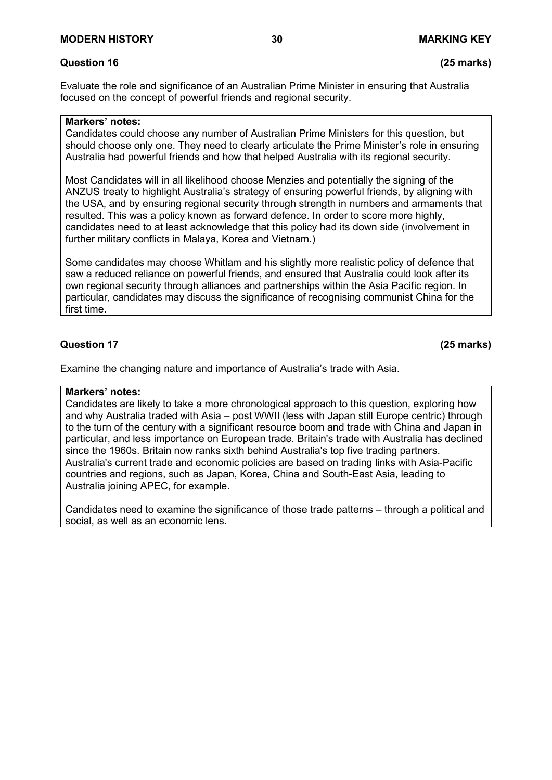Evaluate the role and significance of an Australian Prime Minister in ensuring that Australia focused on the concept of powerful friends and regional security.

# **Markers' notes:**

Candidates could choose any number of Australian Prime Ministers for this question, but should choose only one. They need to clearly articulate the Prime Minister's role in ensuring Australia had powerful friends and how that helped Australia with its regional security.

Most Candidates will in all likelihood choose Menzies and potentially the signing of the ANZUS treaty to highlight Australia's strategy of ensuring powerful friends, by aligning with the USA, and by ensuring regional security through strength in numbers and armaments that resulted. This was a policy known as forward defence. In order to score more highly, candidates need to at least acknowledge that this policy had its down side (involvement in further military conflicts in Malaya, Korea and Vietnam.)

Some candidates may choose Whitlam and his slightly more realistic policy of defence that saw a reduced reliance on powerful friends, and ensured that Australia could look after its own regional security through alliances and partnerships within the Asia Pacific region. In particular, candidates may discuss the significance of recognising communist China for the first time.

# **Question 17 (25 marks)**

Examine the changing nature and importance of Australia's trade with Asia.

#### **Markers' notes:**

Candidates are likely to take a more chronological approach to this question, exploring how and why Australia traded with Asia – post WWII (less with Japan still Europe centric) through to the turn of the century with a significant resource boom and trade with China and Japan in particular, and less importance on European trade. Britain's trade with Australia has declined since the 1960s. Britain now ranks sixth behind Australia's top five trading partners. Australia's current trade and economic policies are based on trading links with Asia-Pacific countries and regions, such as Japan, Korea, China and South-East Asia, leading to Australia joining APEC, for example.

Candidates need to examine the significance of those trade patterns – through a political and social, as well as an economic lens.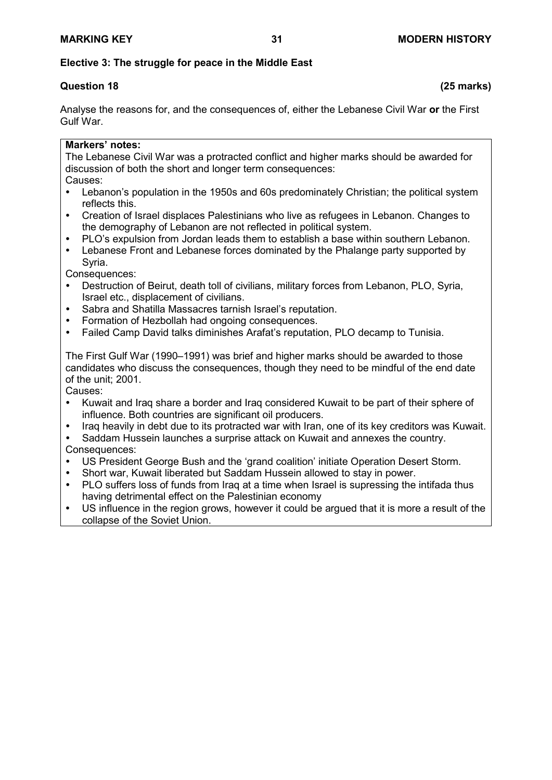# **Elective 3: The struggle for peace in the Middle East**

# **Question 18 (25 marks)**

Analyse the reasons for, and the consequences of, either the Lebanese Civil War **or** the First Gulf War.

### **Markers' notes:**

The Lebanese Civil War was a protracted conflict and higher marks should be awarded for discussion of both the short and longer term consequences: Causes:

- Lebanon's population in the 1950s and 60s predominately Christian; the political system reflects this.
- Creation of Israel displaces Palestinians who live as refugees in Lebanon. Changes to the demography of Lebanon are not reflected in political system.
- PLO's expulsion from Jordan leads them to establish a base within southern Lebanon.
- Lebanese Front and Lebanese forces dominated by the Phalange party supported by Syria.
- Consequences:
- Destruction of Beirut, death toll of civilians, military forces from Lebanon, PLO, Syria, Israel etc., displacement of civilians.
- Sabra and Shatilla Massacres tarnish Israel's reputation.
- Formation of Hezbollah had ongoing consequences.
- Failed Camp David talks diminishes Arafat's reputation, PLO decamp to Tunisia.

The First Gulf War (1990–1991) was brief and higher marks should be awarded to those candidates who discuss the consequences, though they need to be mindful of the end date of the unit; 2001.

Causes:

- Kuwait and Iraq share a border and Iraq considered Kuwait to be part of their sphere of influence. Both countries are significant oil producers.
- Iraq heavily in debt due to its protracted war with Iran, one of its key creditors was Kuwait.

 Saddam Hussein launches a surprise attack on Kuwait and annexes the country. Consequences:

- US President George Bush and the 'grand coalition' initiate Operation Desert Storm.
- Short war, Kuwait liberated but Saddam Hussein allowed to stay in power.
- PLO suffers loss of funds from Iraq at a time when Israel is supressing the intifada thus having detrimental effect on the Palestinian economy
- US influence in the region grows, however it could be argued that it is more a result of the collapse of the Soviet Union.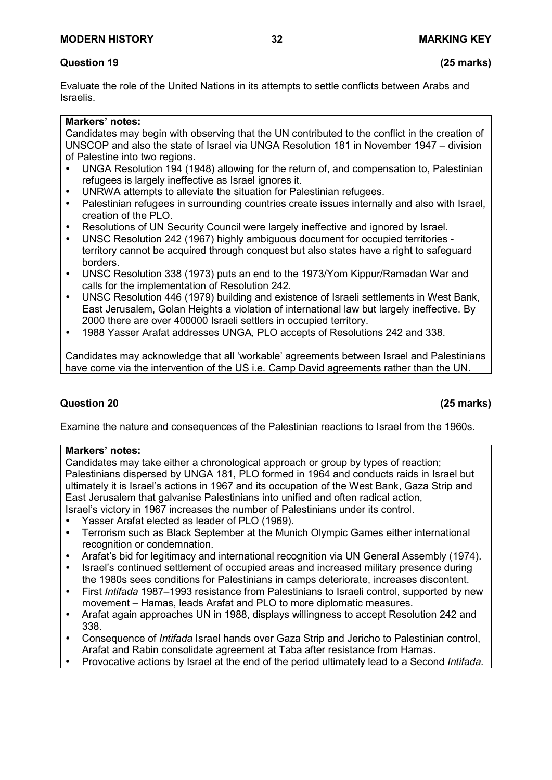# **Question 19 (25 marks)**

Evaluate the role of the United Nations in its attempts to settle conflicts between Arabs and Israelis.

# **Markers' notes:**

Candidates may begin with observing that the UN contributed to the conflict in the creation of UNSCOP and also the state of Israel via UNGA Resolution 181 in November 1947 – division of Palestine into two regions.

- UNGA Resolution 194 (1948) allowing for the return of, and compensation to, Palestinian refugees is largely ineffective as Israel ignores it.
- UNRWA attempts to alleviate the situation for Palestinian refugees.
- Palestinian refugees in surrounding countries create issues internally and also with Israel, creation of the PLO.
- Resolutions of UN Security Council were largely ineffective and ignored by Israel.
- UNSC Resolution 242 (1967) highly ambiguous document for occupied territories territory cannot be acquired through conquest but also states have a right to safeguard borders.
- UNSC Resolution 338 (1973) puts an end to the 1973/Yom Kippur/Ramadan War and calls for the implementation of Resolution 242.
- UNSC Resolution 446 (1979) building and existence of Israeli settlements in West Bank, East Jerusalem, Golan Heights a violation of international law but largely ineffective. By 2000 there are over 400000 Israeli settlers in occupied territory.
- 1988 Yasser Arafat addresses UNGA, PLO accepts of Resolutions 242 and 338.

Candidates may acknowledge that all 'workable' agreements between Israel and Palestinians have come via the intervention of the US i.e. Camp David agreements rather than the UN.

# **Question 20 (25 marks)**

Examine the nature and consequences of the Palestinian reactions to Israel from the 1960s.

#### **Markers' notes:**

Candidates may take either a chronological approach or group by types of reaction; Palestinians dispersed by UNGA 181, PLO formed in 1964 and conducts raids in Israel but ultimately it is Israel's actions in 1967 and its occupation of the West Bank, Gaza Strip and East Jerusalem that galvanise Palestinians into unified and often radical action, Israel's victory in 1967 increases the number of Palestinians under its control.

- Yasser Arafat elected as leader of PLO (1969).
- Terrorism such as Black September at the Munich Olympic Games either international recognition or condemnation.
- Arafat's bid for legitimacy and international recognition via UN General Assembly (1974).
- Israel's continued settlement of occupied areas and increased military presence during the 1980s sees conditions for Palestinians in camps deteriorate, increases discontent.
- First *Intifada* 1987–1993 resistance from Palestinians to Israeli control, supported by new movement – Hamas, leads Arafat and PLO to more diplomatic measures.
- Arafat again approaches UN in 1988, displays willingness to accept Resolution 242 and 338.
- Consequence of *Intifada* Israel hands over Gaza Strip and Jericho to Palestinian control, Arafat and Rabin consolidate agreement at Taba after resistance from Hamas.
- Provocative actions by Israel at the end of the period ultimately lead to a Second *Intifada.*